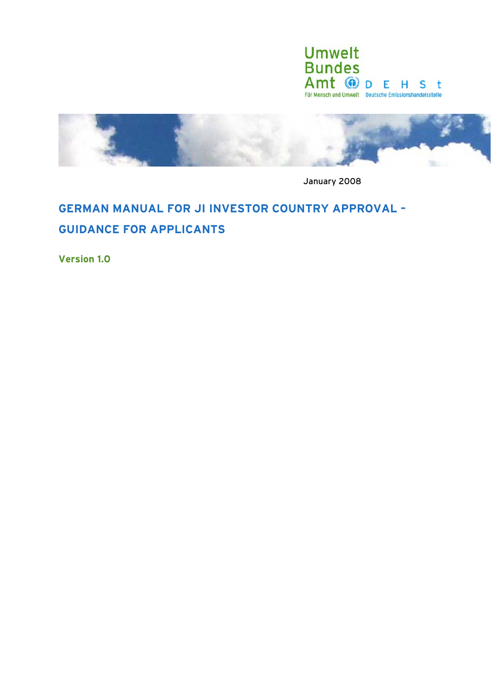

<span id="page-0-0"></span>

January 2008

# **GERMAN MANUAL FOR JI INVESTOR COUNTRY APPROVAL – GUIDANCE FOR APPLICANTS**

**Version 1.0**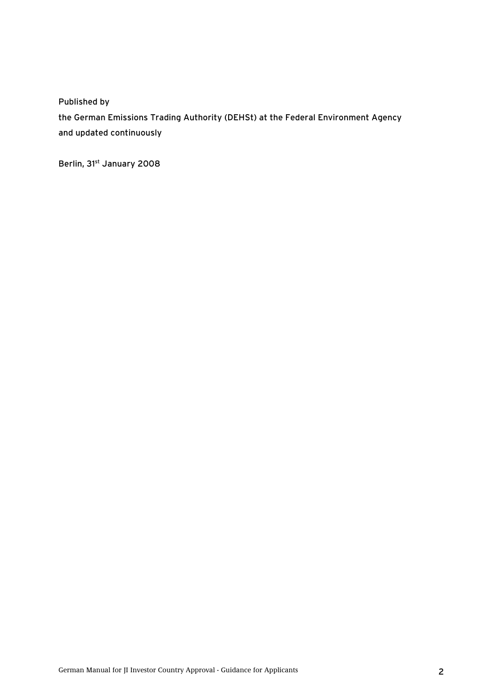Published by

the German Emissions Trading Authority (DEHSt) at the Federal Environment Agency and updated continuously

Berlin, 31st January 2008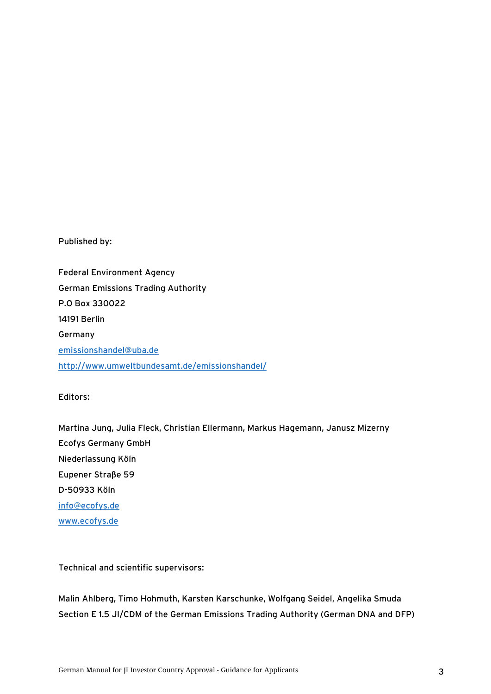Published by:

Federal Environment Agency German Emissions Trading Authority P.O Box 330022 14191 Berlin Germany [emissionshandel@uba.de](mailto:emissionshandel@uba.de) <http://www.umweltbundesamt.de/emissionshandel/>

Editors:

Martina Jung, Julia Fleck, Christian Ellermann, Markus Hagemann, Janusz Mizerny Ecofys Germany GmbH Niederlassung Köln Eupener Straße 59 D-50933 Köln [info@ecofys.de](mailto:info@ecofys.de) [www.ecofys.de](http://www.ecofys.de/)

Technical and scientific supervisors:

Malin Ahlberg, Timo Hohmuth, Karsten Karschunke, Wolfgang Seidel, Angelika Smuda Section E 1.5 JI/CDM of the German Emissions Trading Authority (German DNA and DFP)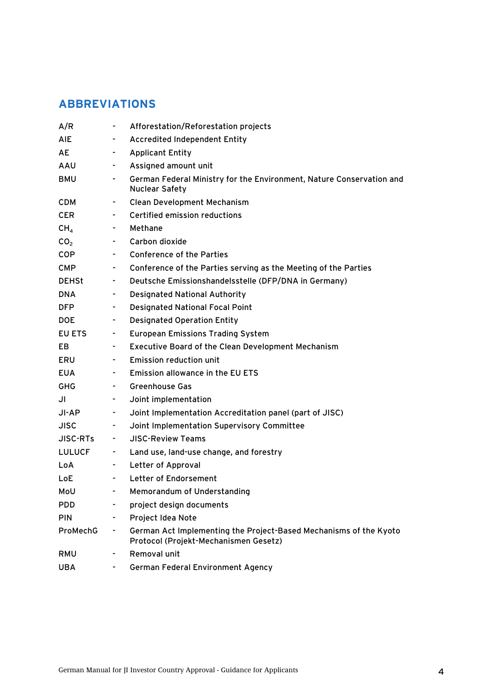# **ABBREVIATIONS**

| A/R             |                | Afforestation/Reforestation projects                                                                       |
|-----------------|----------------|------------------------------------------------------------------------------------------------------------|
| AIE             | $\sim 100$     | <b>Accredited Independent Entity</b>                                                                       |
| AE              | $\sim 100$     | <b>Applicant Entity</b>                                                                                    |
| AAU             |                | Assigned amount unit                                                                                       |
| BMU             | $\sim 100$     | German Federal Ministry for the Environment, Nature Conservation and<br><b>Nuclear Safety</b>              |
| <b>CDM</b>      |                | <b>Clean Development Mechanism</b>                                                                         |
| <b>CER</b>      |                | Certified emission reductions                                                                              |
| CH <sub>4</sub> | $\sim 100$     | Methane                                                                                                    |
| CO <sub>2</sub> | $\sim 100$     | Carbon dioxide                                                                                             |
| COP             |                | <b>Conference of the Parties</b>                                                                           |
| <b>CMP</b>      | $\sim 100$     | Conference of the Parties serving as the Meeting of the Parties                                            |
| <b>DEHSt</b>    | $\sim$         | Deutsche Emissionshandelsstelle (DFP/DNA in Germany)                                                       |
| <b>DNA</b>      |                | <b>Designated National Authority</b>                                                                       |
| <b>DFP</b>      | ۰.             | <b>Designated National Focal Point</b>                                                                     |
| <b>DOE</b>      | ۰.             | <b>Designated Operation Entity</b>                                                                         |
| EU ETS          | ٠.             | <b>European Emissions Trading System</b>                                                                   |
| EB              | $\sim$         | <b>Executive Board of the Clean Development Mechanism</b>                                                  |
| ERU             | $\blacksquare$ | <b>Emission reduction unit</b>                                                                             |
| <b>EUA</b>      |                | Emission allowance in the EU ETS                                                                           |
| GHG             | $\sim 100$     | <b>Greenhouse Gas</b>                                                                                      |
| JI              | $\sim 100$     | Joint implementation                                                                                       |
| JI-AP           | ۰.             | Joint Implementation Accreditation panel (part of JISC)                                                    |
| <b>JISC</b>     | ۰.             | Joint Implementation Supervisory Committee                                                                 |
| <b>JISC-RTs</b> | $\sim 100$     | <b>JISC-Review Teams</b>                                                                                   |
| LULUCF          | mark of        | Land use, land-use change, and forestry                                                                    |
| LoA             | $\sim 100$     | Letter of Approval                                                                                         |
| LoE             |                | Letter of Endorsement                                                                                      |
| MoU             |                | Memorandum of Understanding                                                                                |
| <b>PDD</b>      |                | project design documents                                                                                   |
| <b>PIN</b>      |                | Project Idea Note                                                                                          |
| ProMechG        | ٠              | German Act Implementing the Project-Based Mechanisms of the Kyoto<br>Protocol (Projekt-Mechanismen Gesetz) |
| RMU             |                | Removal unit                                                                                               |
| <b>UBA</b>      |                | <b>German Federal Environment Agency</b>                                                                   |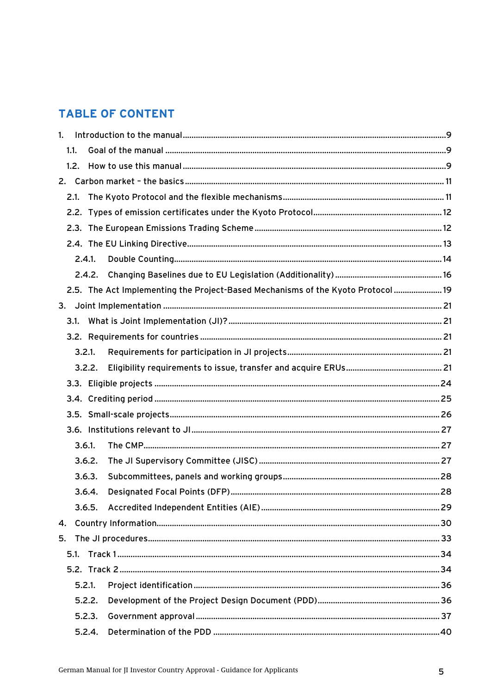# **TABLE OF CONTENT**

| 1.           |        |        |                                                                                  |  |
|--------------|--------|--------|----------------------------------------------------------------------------------|--|
|              | 1.1.   |        |                                                                                  |  |
|              |        |        |                                                                                  |  |
| 2.           |        |        |                                                                                  |  |
|              |        |        |                                                                                  |  |
|              |        |        |                                                                                  |  |
|              |        |        |                                                                                  |  |
|              |        |        |                                                                                  |  |
|              |        | 2.4.1. |                                                                                  |  |
|              |        |        |                                                                                  |  |
|              |        |        | 2.5. The Act Implementing the Project-Based Mechanisms of the Kyoto Protocol  19 |  |
|              |        |        |                                                                                  |  |
|              |        |        |                                                                                  |  |
|              |        |        |                                                                                  |  |
|              | 3.2.1. |        |                                                                                  |  |
|              |        | 3.2.2. |                                                                                  |  |
|              |        |        |                                                                                  |  |
|              |        |        |                                                                                  |  |
|              |        |        |                                                                                  |  |
|              |        |        |                                                                                  |  |
|              | 3.6.1. |        |                                                                                  |  |
|              |        | 3.6.2. |                                                                                  |  |
|              |        | 3.6.3. |                                                                                  |  |
|              |        | 3.6.4. |                                                                                  |  |
|              |        | 3.6.5. |                                                                                  |  |
| $\mathbf{4}$ |        |        |                                                                                  |  |
| 5.           |        |        |                                                                                  |  |
|              |        |        |                                                                                  |  |
|              |        |        |                                                                                  |  |
|              | 5.2.1. |        |                                                                                  |  |
|              |        | 5.2.2. |                                                                                  |  |
|              |        | 5.2.3. |                                                                                  |  |
|              |        | 5.2.4. |                                                                                  |  |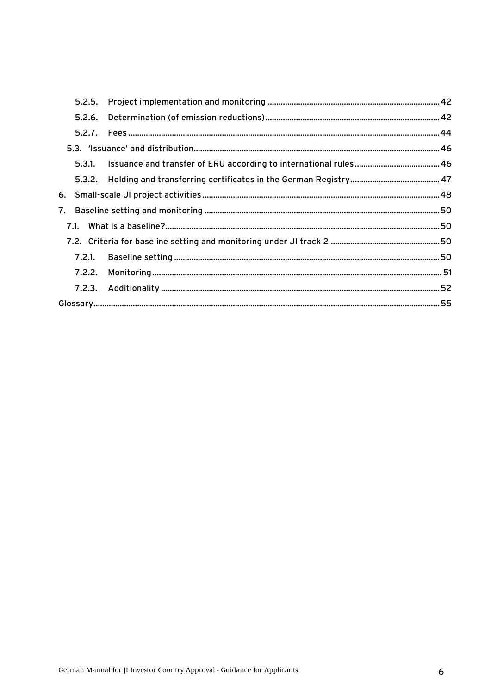| 5.2.6. |  |
|--------|--|
|        |  |
|        |  |
|        |  |
|        |  |
|        |  |
|        |  |
|        |  |
|        |  |
|        |  |
|        |  |
|        |  |
|        |  |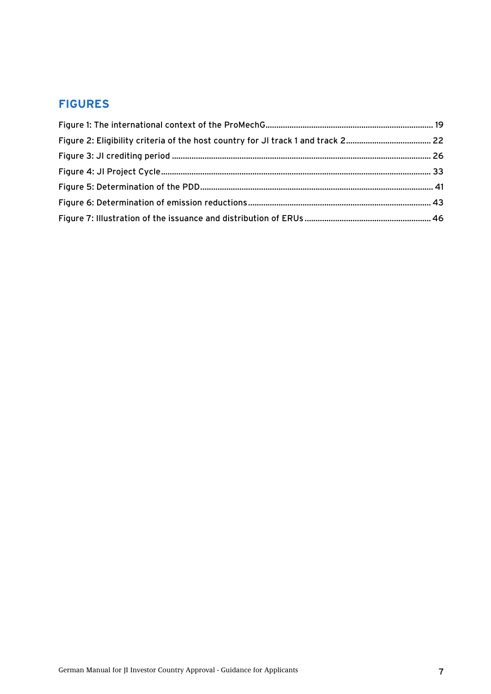# **FIGURES**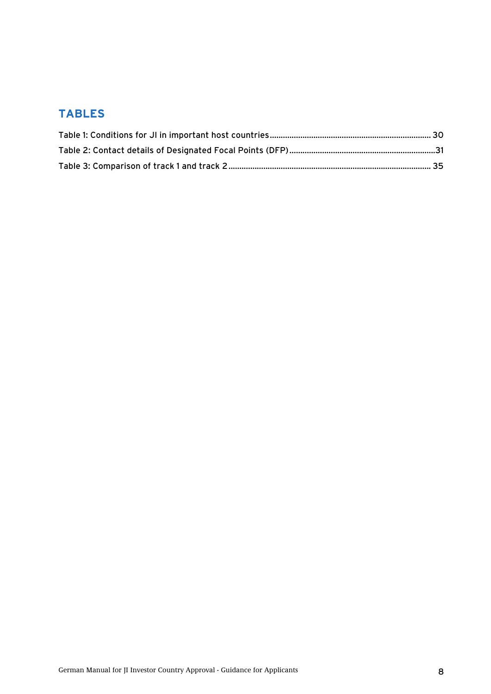# **TABLES**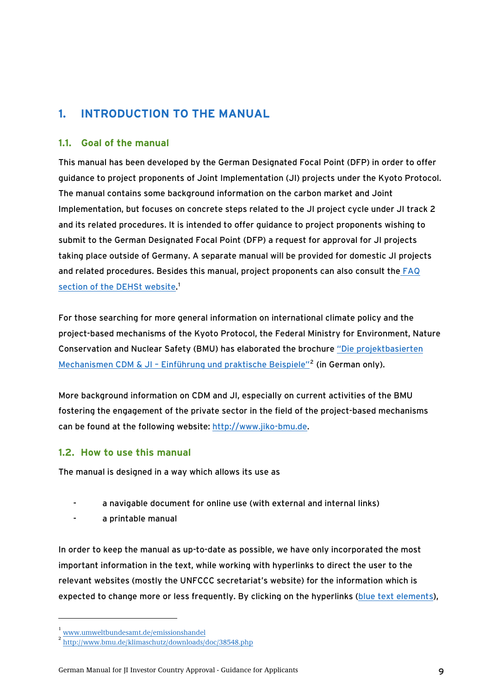# <span id="page-8-0"></span>**1. INTRODUCTION TO THE MANUAL**

## **1.1. Goal of the manual**

This manual has been developed by the German Designated Focal Point (DFP) in order to offer guidance to project proponents of Joint Implementation (JI) projects under the Kyoto Protocol. The manual contains some background information on the carbon market and Joint Implementation, but focuses on concrete steps related to the JI project cycle under JI track 2 and its related procedures. It is intended to offer guidance to project proponents wishing to submit to the German Designated Focal Point (DFP) a request for approval for JI projects taking place outside of Germany. A separate manual will be provided for domestic JI projects and related procedures. Besides this manual, project proponents can also consult the [FAQ](http://www.umweltbundesamt.de/emissionshandel)  [section of the DEHSt website](http://www.umweltbundesamt.de/emissionshandel).<sup>[1](#page-8-0)</sup>

For those searching for more general information on international climate policy and the project-based mechanisms of the Kyoto Protocol, the Federal Ministry for Environment, Nature Conservation and Nuclear Safety (BMU) has elaborated the brochure ["Die projektbasierten](http://www.bmu.de/klimaschutz/downloads/doc/38548.php)  Mechanismen CDM & JI - Einführung und praktische Beispiele<sup>1[2](#page-8-0)</sup> (in German only).

More background information on CDM and JI, especially on current activities of the BMU fostering the engagement of the private sector in the field of the project-based mechanisms can be found at the following website: [http://www.jiko-bmu.de.](http://www.jiko-bmu.de/)

## **1.2. How to use this manual**

The manual is designed in a way which allows its use as

- a navigable document for online use (with external and internal links)
- a printable manual

In order to keep the manual as up-to-date as possible, we have only incorporated the most important information in the text, while working with hyperlinks to direct the user to the relevant websites (mostly the UNFCCC secretariat's website) for the information which is expected to change more or less frequently. By clicking on the hyperlinks (blue text elements),

<sup>1</sup>

www.umweltbundesamt.de/emissionshandel<br><http://www.bmu.de/klimaschutz/downloads/doc/38548.php>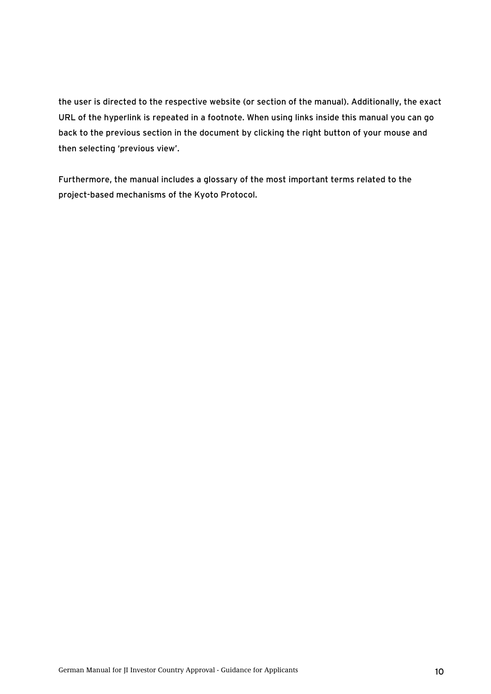the user is directed to the respective website (or section of the manual). Additionally, the exact URL of the hyperlink is repeated in a footnote. When using links inside this manual you can go back to the previous section in the document by clicking the right button of your mouse and then selecting 'previous view'.

Furthermore, the manual includes a glossary of the most important terms related to the project-based mechanisms of the Kyoto Protocol.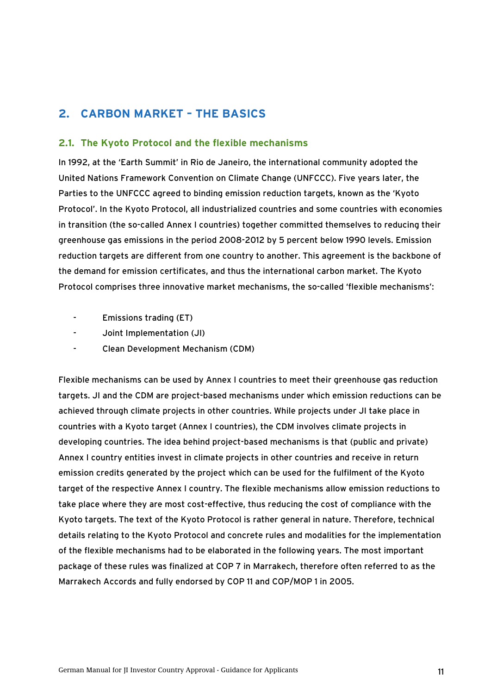# <span id="page-10-0"></span>**2. CARBON MARKET – THE BASICS**

### **2.1. The Kyoto Protocol and the flexible mechanisms**

In 1992, at the 'Earth Summit' in Rio de Janeiro, the international community adopted the United Nations Framework Convention on Climate Change (UNFCCC). Five years later, the Parties to the UNFCCC agreed to binding emission reduction targets, known as the 'Kyoto Protocol'. In the Kyoto Protocol, all industrialized countries and some countries with economies in transition (the so-called Annex I countries) together committed themselves to reducing their greenhouse gas emissions in the period 2008-2012 by 5 percent below 1990 levels. Emission reduction targets are different from one country to another. This agreement is the backbone of the demand for emission certificates, and thus the international carbon market. The Kyoto Protocol comprises three innovative market mechanisms, the so-called 'flexible mechanisms':

- Emissions trading (ET)
- Joint Implementation (JI)
- Clean Development Mechanism (CDM)

Flexible mechanisms can be used by Annex I countries to meet their greenhouse gas reduction targets. JI and the CDM are project-based mechanisms under which emission reductions can be achieved through climate projects in other countries. While projects under JI take place in countries with a Kyoto target (Annex I countries), the CDM involves climate projects in developing countries. The idea behind project-based mechanisms is that (public and private) Annex I country entities invest in climate projects in other countries and receive in return emission credits generated by the project which can be used for the fulfilment of the Kyoto target of the respective Annex I country. The flexible mechanisms allow emission reductions to take place where they are most cost-effective, thus reducing the cost of compliance with the Kyoto targets. The text of the Kyoto Protocol is rather general in nature. Therefore, technical details relating to the Kyoto Protocol and concrete rules and modalities for the implementation of the flexible mechanisms had to be elaborated in the following years. The most important package of these rules was finalized at COP 7 in Marrakech, therefore often referred to as the Marrakech Accords and fully endorsed by COP 11 and COP/MOP 1 in 2005.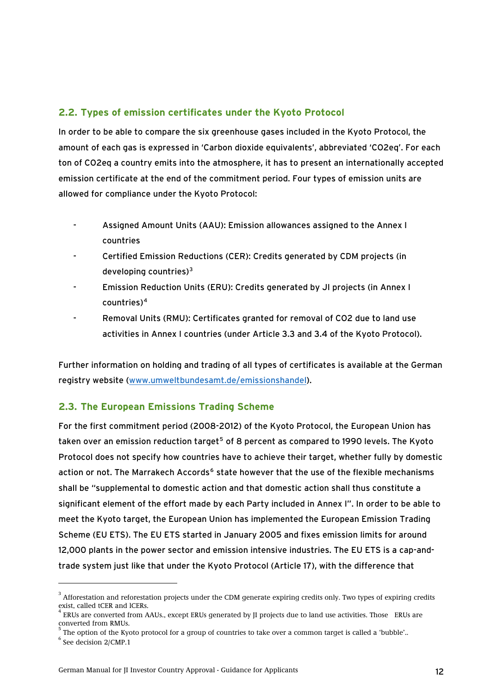## <span id="page-11-0"></span>**2.2. Types of emission certificates under the Kyoto Protocol**

In order to be able to compare the six greenhouse gases included in the Kyoto Protocol, the amount of each gas is expressed in 'Carbon dioxide equivalents', abbreviated 'CO2eq'. For each ton of CO2eq a country emits into the atmosphere, it has to present an internationally accepted emission certificate at the end of the commitment period. Four types of emission units are allowed for compliance under the Kyoto Protocol:

- Assigned Amount Units (AAU): Emission allowances assigned to the Annex I countries
- Certified Emission Reductions (CER): Credits generated by CDM projects (in developing countries) $3$
- Emission Reduction Units (ERU): Credits generated by JI projects (in Annex I countries)[4](#page-11-0)
- Removal Units (RMU): Certificates granted for removal of CO2 due to land use activities in Annex I countries (under Article 3.3 and 3.4 of the Kyoto Protocol).

Further information on holding and trading of all types of certificates is available at the German registry website ([www.umweltbundesamt.de/emissionshandel\)](http://www.umweltbundesamt.de/emissionshandel).

## **2.3. The European Emissions Trading Scheme**

For the first commitment period (2008-2012) of the Kyoto Protocol, the European Union has taken over an emission reduction target<sup>[5](#page-11-0)</sup> of 8 percent as compared to 1990 levels. The Kyoto Protocol does not specify how countries have to achieve their target, whether fully by domestic action or not. The Marrakech Accords<sup>[6](#page-11-0)</sup> state however that the use of the flexible mechanisms shall be "supplemental to domestic action and that domestic action shall thus constitute a significant element of the effort made by each Party included in Annex I". In order to be able to meet the Kyoto target, the European Union has implemented the European Emission Trading Scheme (EU ETS). The EU ETS started in January 2005 and fixes emission limits for around 12,000 plants in the power sector and emission intensive industries. The EU ETS is a cap-andtrade system just like that under the Kyoto Protocol (Article 17), with the difference that

 $^3$  Afforestation and reforestation projects under the CDM generate expiring credits only. Two types of expiring credits exist, called tCER and lCERs.

<sup>4</sup> ERUs are converted from AAUs., except ERUs generated by JI projects due to land use activities. Those ERUs are converted from RMUs.

<sup>5</sup> The option of the Kyoto protocol for a group of countries to take over a common target is called a 'bubble'..

 $6 \text{ See decision } 2/\text{CMP}.1$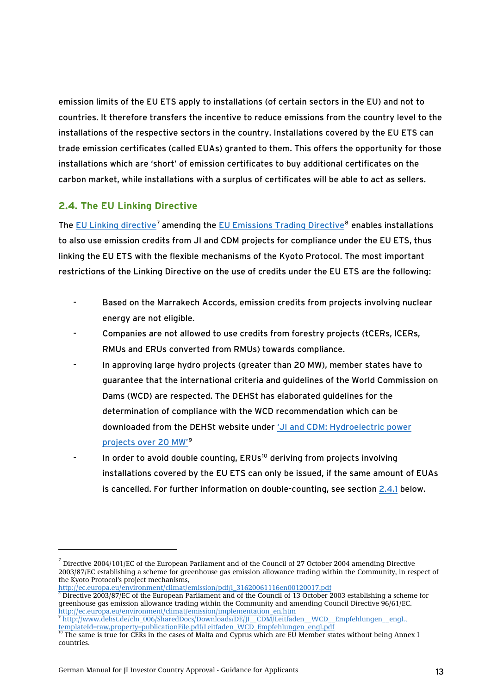<span id="page-12-1"></span><span id="page-12-0"></span>emission limits of the EU ETS apply to installations (of certain sectors in the EU) and not to countries. It therefore transfers the incentive to reduce emissions from the country level to the installations of the respective sectors in the country. Installations covered by the EU ETS can trade emission certificates (called EUAs) granted to them. This offers the opportunity for those installations which are 'short' of emission certificates to buy additional certificates on the carbon market, while installations with a surplus of certificates will be able to act as sellers.

# **2.4. The EU Linking Directive**

-

The [EU Linking directive](http://ec.europa.eu/environment/climat/emission/linking_en.htm)<sup>[7](#page-12-0)</sup> amending the [EU Emissions Trading Directive](http://ec.europa.eu/environment/climat/emission/implementation_en.htm)<sup>[8](#page-12-0)</sup> enables installations to also use emission credits from JI and CDM projects for compliance under the EU ETS, thu s linking the EU ETS with the flexible mechanisms of the Kyoto Protocol. The most important restrictions of the Linking Directive on the use of credits under the EU ETS are the following:

- Based on the Marrakech Accords, emission credits from projects involving nuclear energy are not eligible.
- Companies are not allowed to use credits from forestry projects (tCERs, ICERs, RMUs and ERUs converted from RMUs) towards compliance.
- In approving large hydro projects (greater than 20 MW), member states have to guarantee that the international criteria and guidelines of the World Commission on Dams (WCD) are respected. The DEHSt has elaborated guidelines for the determination of compliance with the WCD recommendation which can be downloaded from the DEHSt website under ['JI and CDM: Hydroelectric power](http://www.dehst.de/cln_006/SharedDocs/Downloads/DE/JI__CDM/Leitfaden__WCD__Empfehlungen__engl.,templateId=raw,property=publicationFile.pdf/Leitfaden_WCD_Empfehlungen_engl.pdf)  [projects over 20 MW'](http://www.dehst.de/cln_006/SharedDocs/Downloads/DE/JI__CDM/Leitfaden__WCD__Empfehlungen__engl.,templateId=raw,property=publicationFile.pdf/Leitfaden_WCD_Empfehlungen_engl.pdf)[9](#page-12-0)
- In order to avoid double counting, ERUs<sup>[10](#page-12-0)</sup> deriving from projects involving installations covered by the EU ETS can only be issued, if the same amount of EUAs is cancelled. For further information on double-counting, see section [2.4.1](#page-13-1) below.

[templateId=raw,property=publicationFile.pdf/Leitfaden\\_WCD\\_Empfehlungen\\_engl.pdf](http://www.dehst.de/cln_006/SharedDocs/Downloads/DE/JI__CDM/Leitfaden__WCD__Empfehlungen__engl.,templateId=raw,property=publicationFile.pdf/Leitfaden_WCD_Empfehlungen_engl.pdf)<br><sup>10</sup> The same is true for CERs in the cases of Malta and Cyprus which are EU Member states without being Annex I

 $^7$  Directive 2004/101/EC of the European Parliament and of the Council of 27 October 2004 amending Directive 2003/87/EC establishing a scheme for greenhouse gas emission allowance trading within the Community, in respect of the Kyoto Protocol's project mechanisms,

[http://ec.europa.eu/environment/climat/emission/pdf/l\\_31620061116en00120017.pdf](http://ec.europa.eu/environment/climat/emission/pdf/l_31620061116en00120017.pdf)

<sup>&</sup>lt;sup>8</sup> Directive 2003/87/EC of the European Parliament and of the Council of 13 October 2003 establishing a scheme for greenhouse gas emission allowance trading within the Community and amending Council Directive 96/61/EC. [http://ec.europa.eu/environment/climat/emission/implementation\\_en.htm 9](http://ec.europa.eu/environment/climat/emission/implementation_en.htm) [http://www.dehst.de/cln\\_006/SharedDocs/Downloads/DE/JI\\_\\_CDM/Leitfaden\\_\\_WCD\\_\\_Empfehlungen\\_\\_engl.,](http://www.dehst.de/cln_006/SharedDocs/Downloads/DE/JI__CDM/Leitfaden__WCD__Empfehlungen__engl.,templateId=raw,property=publicationFile.pdf/Leitfaden_WCD_Empfehlungen_engl.pdf) 

countries.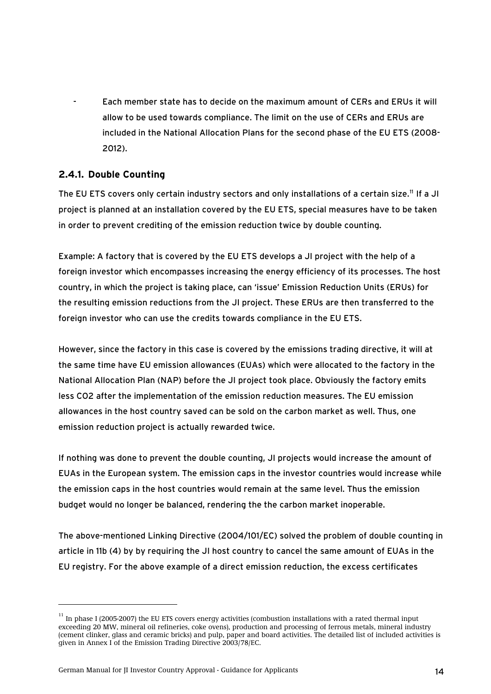<span id="page-13-1"></span><span id="page-13-0"></span>- Each member state has to decide on the maximum amount of CERs and ERUs it will allow to be used towards compliance. The limit on the use of CERs and ERUs are included in the National Allocation Plans for the second phase of the EU ETS (2008- 2012).

## **2.4.1. Double Counting**

The EU ETS covers only certain industry sectors and only installations of a certain size.<sup>[11](#page-13-0)</sup> If a JI project is planned at an installation covered by the EU ETS, special measures have to be taken in order to prevent crediting of the emission reduction twice by double counting.

Example: A factory that is covered by the EU ETS develops a JI project with the help of a foreign investor which encompasses increasing the energy efficiency of its processes. The host country, in which the project is taking place, can 'issue' Emission Reduction Units (ERUs) for the resulting emission reductions from the JI project. These ERUs are then transferred to the foreign investor who can use the credits towards compliance in the EU ETS.

However, since the factory in this case is covered by the emissions trading directive, it will at the same time have EU emission allowances (EUAs) which were allocated to the factory in the National Allocation Plan (NAP) before the JI project took place. Obviously the factory emits less CO2 after the implementation of the emission reduction measures. The EU emission allowances in the host country saved can be sold on the carbon market as well. Thus, one emission reduction project is actually rewarded twice.

If nothing was done to prevent the double counting, JI projects would increase the amount of EUAs in the European system. The emission caps in the investor countries would increase while the emission caps in the host countries would remain at the same level. Thus the emission budget would no longer be balanced, rendering the the carbon market inoperable.

The above-mentioned Linking Directive (2004/101/EC) solved the problem of double counting in article in 11b (4) by by requiring the JI host country to cancel the same amount of EUAs in the EU registry. For the above example of a direct emission reduction, the excess certificates

 $11$  In phase I (2005-2007) the EU ETS covers energy activities (combustion installations with a rated thermal input exceeding 20 MW, mineral oil refineries, coke ovens), production and processing of ferrous metals, mineral industry (cement clinker, glass and ceramic bricks) and pulp, paper and board activities. The detailed list of included activities is given in Annex I of the Emission Trading Directive 2003/78/EC.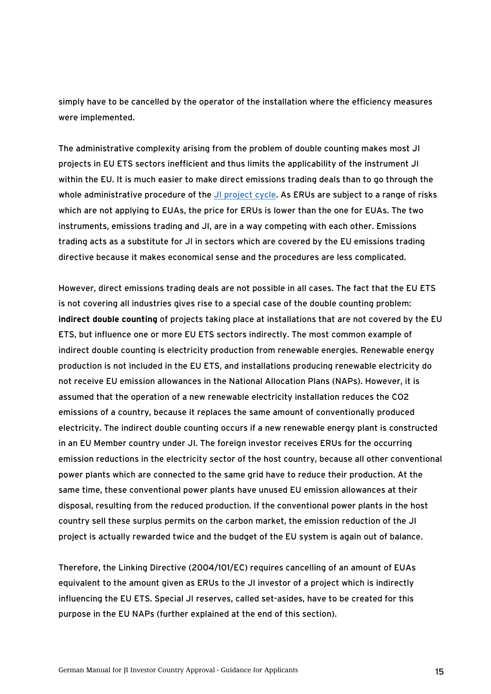simply have to be cancelled by the operator of the installation where the efficiency measures were implemented.

The administrative complexity arising from the problem of double counting makes most JI projects in EU ETS sectors inefficient and thus limits the applicability of the instrument JI within the EU. It is much easier to make direct emissions trading deals than to go through the whole administrative procedure of the [JI project cycle.](#page-32-1) As ERUs are subject to a range of risks which are not applying to EUAs, the price for ERUs is lower than the one for EUAs. The two instruments, emissions trading and JI, are in a way competing with each other. Emissions trading acts as a substitute for JI in sectors which are covered by the EU emissions trading directive because it makes economical sense and the procedures are less complicated.

However, direct emissions trading deals are not possible in all cases. The fact that the EU ETS is not covering all industries gives rise to a special case of the double counting problem: **indirect double counting** of projects taking place at installations that are not covered by the EU ETS, but influence one or more EU ETS sectors indirectly. The most common example of indirect double counting is electricity production from renewable energies. Renewable energy production is not included in the EU ETS, and installations producing renewable electricity do not receive EU emission allowances in the National Allocation Plans (NAPs). However, it is assumed that the operation of a new renewable electricity installation reduces the CO2 emissions of a country, because it replaces the same amount of conventionally produced electricity. The indirect double counting occurs if a new renewable energy plant is constructed in an EU Member country under JI. The foreign investor receives ERUs for the occurring emission reductions in the electricity sector of the host country, because all other conventional power plants which are connected to the same grid have to reduce their production. At the same time, these conventional power plants have unused EU emission allowances at their disposal, resulting from the reduced production. If the conventional power plants in the host country sell these surplus permits on the carbon market, the emission reduction of the JI project is actually rewarded twice and the budget of the EU system is again out of balance.

Therefore, the Linking Directive (2004/101/EC) requires cancelling of an amount of EUAs equivalent to the amount given as ERUs to the JI investor of a project which is indirectly influencing the EU ETS. Special JI reserves, called set-asides, have to be created for this purpose in the EU NAPs (further explained at the end of this section).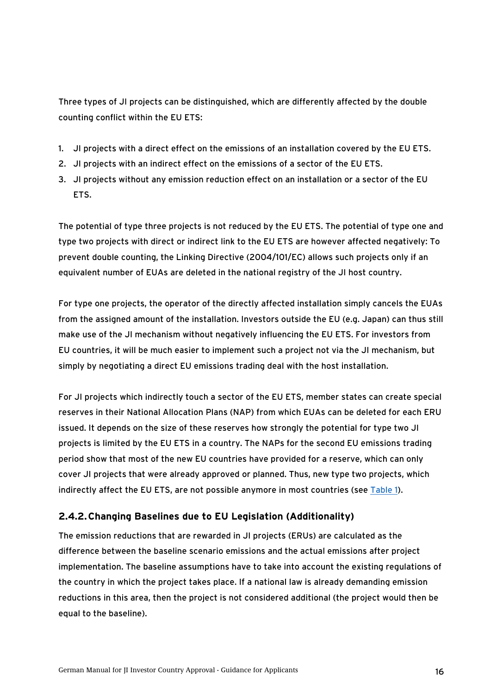<span id="page-15-0"></span>Three types of JI projects can be distinguished, which are differently affected by the double counting conflict within the EU ETS:

- 1. JI projects with a direct effect on the emissions of an installation covered by the EU ETS.
- 2. JI projects with an indirect effect on the emissions of a sector of the EU ETS.
- 3. JI projects without any emission reduction effect on an installation or a sector of the EU ETS.

The potential of type three projects is not reduced by the EU ETS. The potential of type one and type two projects with direct or indirect link to the EU ETS are however affected negatively: To prevent double counting, the Linking Directive (2004/101/EC) allows such projects only if an equivalent number of EUAs are deleted in the national registry of the JI host country.

For type one projects, the operator of the directly affected installation simply cancels the EUAs from the assigned amount of the installation. Investors outside the EU (e.g. Japan) can thus still make use of the JI mechanism without negatively influencing the EU ETS. For investors from EU countries, it will be much easier to implement such a project not via the JI mechanism, but simply by negotiating a direct EU emissions trading deal with the host installation.

For JI projects which indirectly touch a sector of the EU ETS, member states can create special reserves in their National Allocation Plans (NAP) from which EUAs can be deleted for each ERU issued. It depends on the size of these reserves how strongly the potential for type two JI projects is limited by the EU ETS in a country. The NAPs for the second EU emissions trading period show that most of the new EU countries have provided for a reserve, which can only cover JI projects that were already approved or planned. Thus, new type two projects, which indirectly affect the EU ETS, are not possible anymore in most countries (see [Table 1](#page-29-1)).

## <span id="page-15-1"></span>**2.4.2.Changing Baselines due to EU Legislation (Additionality)**

The emission reductions that are rewarded in JI projects (ERUs) are calculated as the difference between the baseline scenario emissions and the actual emissions after project implementation. The baseline assumptions have to take into account the existing regulations of the country in which the project takes place. If a national law is already demanding emission reductions in this area, then the project is not considered additional (the project would then be equal to the baseline).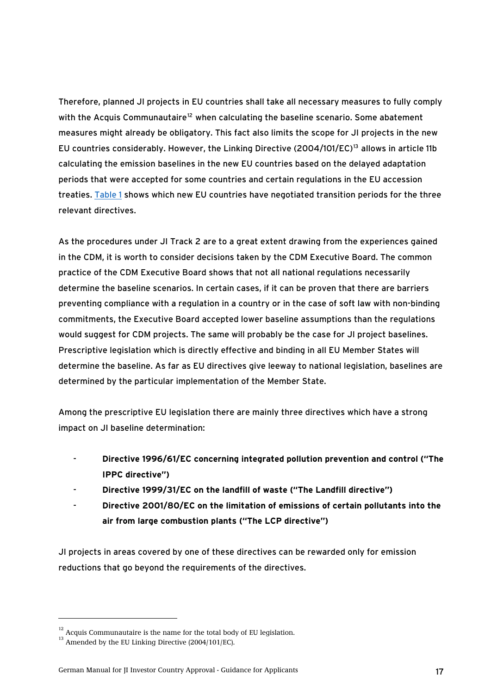<span id="page-16-0"></span>Therefore, planned JI projects in EU countries shall take all necessary measures to fully comply with the Acquis Communautaire<sup>[12](#page-16-0)</sup> when calculating the baseline scenario. Some abatement measures might already be obligatory. This fact also limits the scope for JI projects in the new EU countries considerably. However, the Linking Directive (2004/101/EC)<sup>[13](#page-16-0)</sup> allows in article 11b calculating the emission baselines in the new EU countries based on the delayed adaptation periods that were accepted for some countries and certain regulations in the EU accession treaties. [Table 1](#page-29-1) shows which new EU countries have negotiated transition periods for the three relevant directives.

As the procedures under JI Track 2 are to a great extent drawing from the experiences gained in the CDM, it is worth to consider decisions taken by the CDM Executive Board. The common practice of the CDM Executive Board shows that not all national regulations necessarily determine the baseline scenarios. In certain cases, if it can be proven that there are barriers preventing compliance with a regulation in a country or in the case of soft law with non-binding commitments, the Executive Board accepted lower baseline assumptions than the regulations would suggest for CDM projects. The same will probably be the case for JI project baselines. Prescriptive legislation which is directly effective and binding in all EU Member States will determine the baseline. As far as EU directives give leeway to national legislation, baselines are determined by the particular implementation of the Member State.

Among the prescriptive EU legislation there are mainly three directives which have a strong impact on JI baseline determination:

- **Directive 1996/61/EC concerning integrated pollution prevention and control ("The IPPC directive")**
- **Directive 1999/31/EC on the landfill of waste ("The Landfill directive")**
- **Directive 2001/80/EC on the limitation of emissions of certain pollutants into the air from large combustion plants ("The LCP directive")**

JI projects in areas covered by one of these directives can be rewarded only for emission reductions that go beyond the requirements of the directives.

 $12$  Acquis Communautaire is the name for the total body of EU legislation.

 $^{13}$  Amended by the EU Linking Directive (2004/101/EC).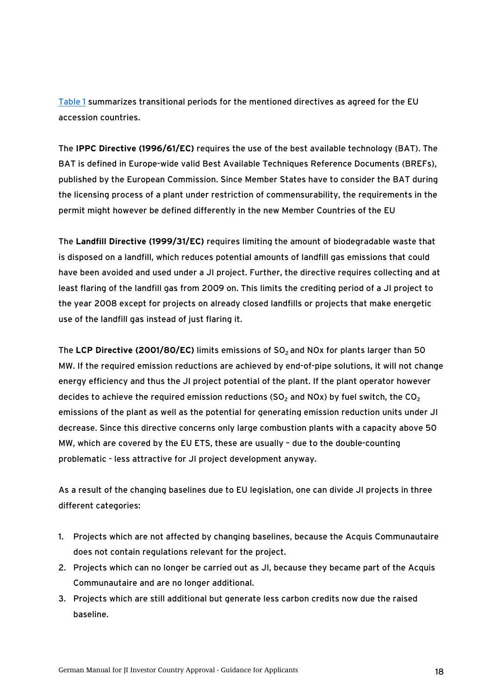[Table 1](#page-29-1) summarizes transitional periods for the mentioned directives as agreed for the EU accession countries.

The **IPPC Directive (1996/61/EC)** requires the use of the best available technology (BAT). The BAT is defined in Europe-wide valid Best Available Techniques Reference Documents (BREFs), published by the European Commission. Since Member States have to consider the BAT during the licensing process of a plant under restriction of commensurability, the requirements in the permit might however be defined differently in the new Member Countries of the EU

The **Landfill Directive (1999/31/EC)** requires limiting the amount of biodegradable waste that is disposed on a landfill, which reduces potential amounts of landfill gas emissions that could have been avoided and used under a JI project. Further, the directive requires collecting and at least flaring of the landfill gas from 2009 on. This limits the crediting period of a JI project to the year 2008 except for projects on already closed landfills or projects that make energetic use of the landfill gas instead of just flaring it.

The LCP Directive (2001/80/EC) limits emissions of SO<sub>2</sub> and NOx for plants larger than 50 MW. If the required emission reductions are achieved by end-of-pipe solutions, it will not change energy efficiency and thus the JI project potential of the plant. If the plant operator however decides to achieve the required emission reductions ( $SO<sub>2</sub>$  and NOx) by fuel switch, the  $CO<sub>2</sub>$ emissions of the plant as well as the potential for generating emission reduction units under JI decrease. Since this directive concerns only large combustion plants with a capacity above 50 MW, which are covered by the EU ETS, these are usually – due to the double-counting problematic - less attractive for JI project development anyway.

As a result of the changing baselines due to EU legislation, one can divide JI projects in three different categories:

- 1. Projects which are not affected by changing baselines, because the Acquis Communautaire does not contain regulations relevant for the project.
- 2. Projects which can no longer be carried out as JI, because they became part of the Acquis Communautaire and are no longer additional.
- 3. Projects which are still additional but generate less carbon credits now due the raised baseline.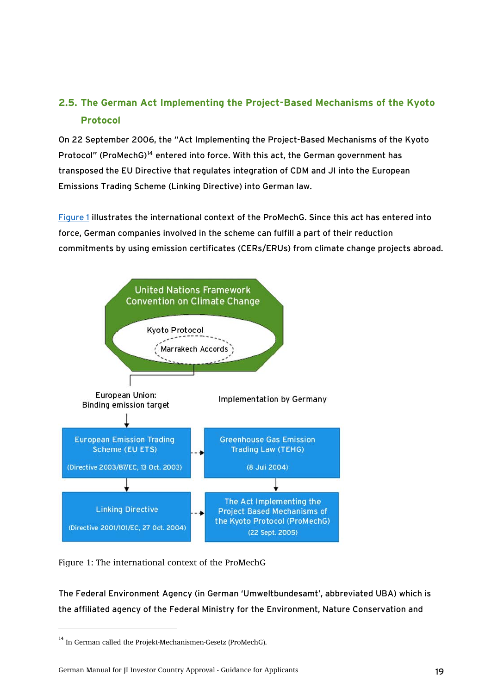# <span id="page-18-0"></span>**2.5. The German Act Implementing the Project-Based Mechanisms of the Kyoto Protocol**

On 22 September 2006, the "Act Implementing the Project-Based Mechanisms of the Kyoto Protocol" (ProMechG)<sup>[14](#page-18-0)</sup> entered into force. With this act, the German government has transposed the EU Directive that regulates integration of CDM and JI into the European Emissions Trading Scheme (Linking Directive) into German law.

Figure 1 illustrates the international context of the ProMechG. Since this act has entered into force, German companies involved in the scheme can fulfill a part of their reduction commitments by using emission certificates (CERs/ERUs) from climate change projects abroad.



Figure 1: The international context of the ProMechG

The Federal Environment Agency (in German 'Umweltbundesamt', abbreviated UBA) which is the affiliated agency of the Federal Ministry for the Environment, Nature Conservation and

-

German Manual for JI Investor Country Approval - Guidance for Applicants 19

<sup>&</sup>lt;sup>14</sup> In German called the Projekt-Mechanismen-Gesetz (ProMechG).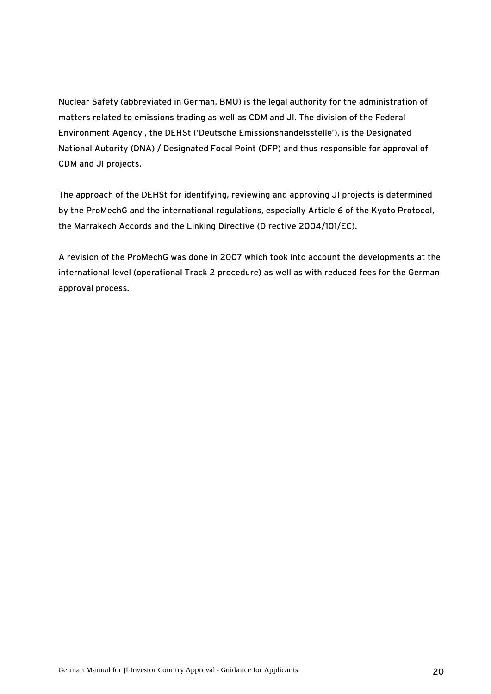Nuclear Safety (abbreviated in German, BMU) is the legal authority for the administration of matters related to emissions trading as well as CDM and JI. The division of the Federal Environment Agency , the DEHSt ('Deutsche Emissionshandelsstelle'), is the Designated National Autority (DNA) / Designated Focal Point (DFP) and thus responsible for approval of CDM and JI projects.

The approach of the DEHSt for identifying, reviewing and approving JI projects is determined by the ProMechG and the international regulations, especially Article 6 of the Kyoto Protocol, the Marrakech Accords and the Linking Directive (Directive 2004/101/EC).

A revision of the ProMechG was done in 2007 which took into account the developments at the international level (operational Track 2 procedure) as well as with reduced fees for the German approval process.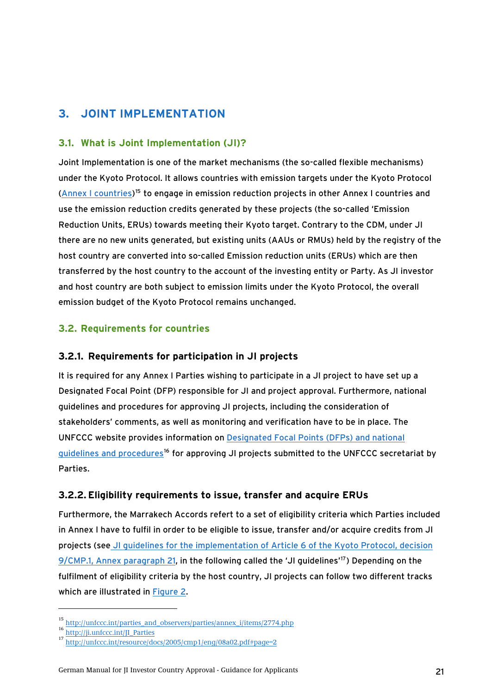# <span id="page-20-0"></span>**3. JOINT IMPLEMENTATION**

## **3.1. What is Joint Implementation (JI)?**

Joint Implementation is one of the market mechanisms (the so-called flexible mechanisms) under the Kyoto Protocol. It allows countries with emission targets under the Kyoto Protocol ([Annex I countries](http://unfccc.int/parties_and_observers/parties/annex_i/items/2774.php))[15](#page-20-0) to engage in emission reduction projects in other Annex I countries and use the emission reduction credits generated by these projects (the so-called 'Emission Reduction Units, ERUs) towards meeting their Kyoto target. Contrary to the CDM, under JI there are no new units generated, but existing units (AAUs or RMUs) held by the registry of the host country are converted into so-called Emission reduction units (ERUs) which are then transferred by the host country to the account of the investing entity or Party. As JI investor and host country are both subject to emission limits under the Kyoto Protocol, the overall emission budget of the Kyoto Protocol remains unchanged.

# **3.2. Requirements for countries**

# **3.2.1. Requirements for participation in JI projects**

It is required for any Annex I Parties wishing to participate in a JI project to have set up a Designated Focal Point (DFP) responsible for JI and project approval. Furthermore, national guidelines and procedures for approving JI projects, including the consideration of stakeholders' comments, as well as monitoring and verification have to be in place. The UNFCCC website provides information on [Designated Focal Points \(DFPs\) and national](http://ji.unfccc.int/JI_Parties)  [guidelines and procedures](http://ji.unfccc.int/JI_Parties)<sup>[16](#page-20-0)</sup> for approving JI projects submitted to the UNFCCC secretariat by Parties.

# <span id="page-20-1"></span>**3.2.2. Eligibility requirements to issue, transfer and acquire ERUs**

Furthermore, the Marrakech Accords refert to a set of eligibility criteria which Parties included in Annex I have to fulfil in order to be eligible to issue, transfer and/or acquire credits from JI projects (se[e JI guidelines for the implementation of Article 6 of the Kyoto Protocol, decision](http://unfccc.int/resource/docs/2005/cmp1/eng/08a02.pdf#page=2)  [9/CMP.1, Annex paragraph 21](http://unfccc.int/resource/docs/2005/cmp1/eng/08a02.pdf#page=2), in the following called the 'JI guidelines'<sup>[17](#page-20-0)</sup>) Depending on the fulfilment of eligibility criteria by the host country, JI projects can follow two different tracks which are illustrated in [Figure 2.](#page-21-1)

<sup>15</sup> [http://unfccc.int/parties\\_and\\_observers/parties/annex\\_i/items/2774.php](http://unfccc.int/parties_and_observers/parties/annex_i/items/2774.php)

 $\frac{16}{\text{http://ji.unfccc.int/II} \text{ Parties}}$ 

<sup>17</sup> <http://unfccc.int/resource/docs/2005/cmp1/eng/08a02.pdf#page=2>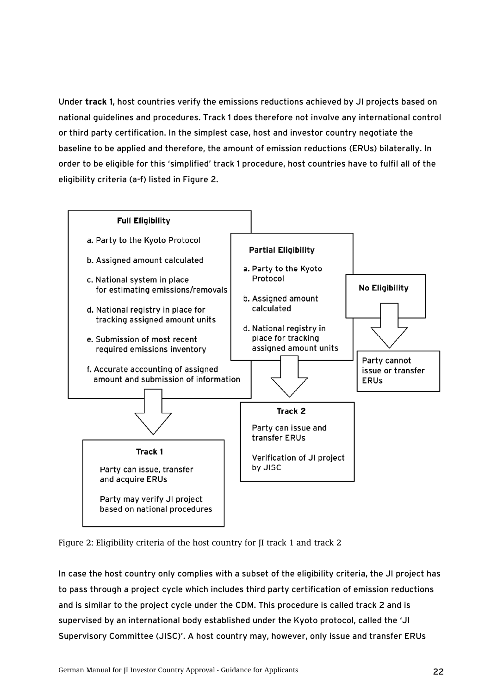<span id="page-21-1"></span><span id="page-21-0"></span>Under **track 1**, host countries verify the emissions reductions achieved by JI projects based on national guidelines and procedures. Track 1 does therefore not involve any international control or third party certification. In the simplest case, host and investor country negotiate the baseline to be applied and therefore, the amount of emission reductions (ERUs) bilaterally. In order to be eligible for this 'simplified' track 1 procedure, host countries have to fulfil all of the eligibility criteria (a-f) listed in Figure 2.



Figure 2: Eligibility criteria of the host country for JI track 1 and track 2

In case the host country only complies with a subset of the eligibility criteria, the JI project has to pass through a project cycle which includes third party certification of emission reductions and is similar to the project cycle under the CDM. This procedure is called track 2 and is supervised by an international body established under the Kyoto protocol, called the 'JI Supervisory Committee (JISC)'. A host country may, however, only issue and transfer ERUs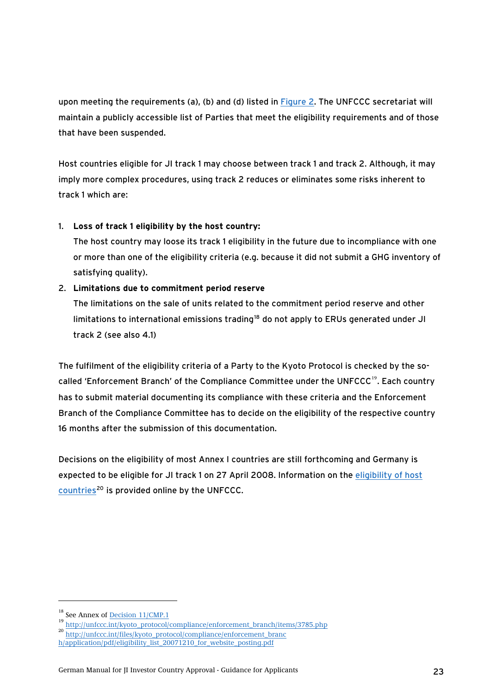<span id="page-22-0"></span>upon meeting the requirements (a), (b) and (d) listed in [Figure 2.](#page-21-1) The UNFCCC secretariat will maintain a publicly accessible list of Parties that meet the eligibility requirements and of those that have been suspended.

Host countries eligible for JI track 1 may choose between track 1 and track 2. Although, it may imply more complex procedures, using track 2 reduces or eliminates some risks inherent to track 1 which are:

## 1. **Loss of track 1 eligibility by the host country:**

The host country may loose its track 1 eligibility in the future due to incompliance with one or more than one of the eligibility criteria (e.g. because it did not submit a GHG inventory of satisfying quality).

## 2. **Limitations due to commitment period reserve**

The limitations on the sale of units related to the commitment period reserve and other limitations to international emissions trading<sup>[18](#page-22-0)</sup> do not apply to ERUs generated under JI track 2 (see also 4.1)

The fulfilment of the eligibility criteria of a Party to the Kyoto Protocol is checked by the so-called 'Enforcement Branch' of the Compliance Committee under the UNFCCC<sup>[19](#page-22-0)</sup>. Each country has to submit material documenting its compliance with these criteria and the Enforcement Branch of the Compliance Committee has to decide on the eligibility of the respective country 16 months after the submission of this documentation.

Decisions on the eligibility of most Annex I countries are still forthcoming and Germany is expected to be eligible for JI track 1 on 27 April 2008. Information on the [eligibility of host](http://unfccc.int/files/kyoto_protocol/compliance/enforcement_branch/application/pdf/eligibility_list_20071210_for_website_posting.pdf)  [countries](http://unfccc.int/files/kyoto_protocol/compliance/enforcement_branch/application/pdf/eligibility_list_20071210_for_website_posting.pdf)<sup>[20](#page-22-0)</sup> is provided online by the UNFCCC.

<sup>&</sup>lt;sup>18</sup> See Annex of **[Decision 11/CMP.1](http://unfccc.int/resource/docs/2005/cmp1/eng/08a02.pdf#page=17)** 

<sup>19</sup> [http://unfccc.int/kyoto\\_protocol/compliance/enforcement\\_branch/items/3785.php](http://unfccc.int/kyoto_protocol/compliance/enforcement_branch/items/3785.php)<br>20 http://unfccc.int/files/kyoto\_protocol/compliance/enforcement\_branc

[h/application/pdf/eligibility\\_list\\_20071210\\_for\\_website\\_posting.pdf](http://unfccc.int/files/kyoto_protocol/compliance/enforcement_branch/application/pdf/eligibility_list_20071210_for_website_posting.pdf)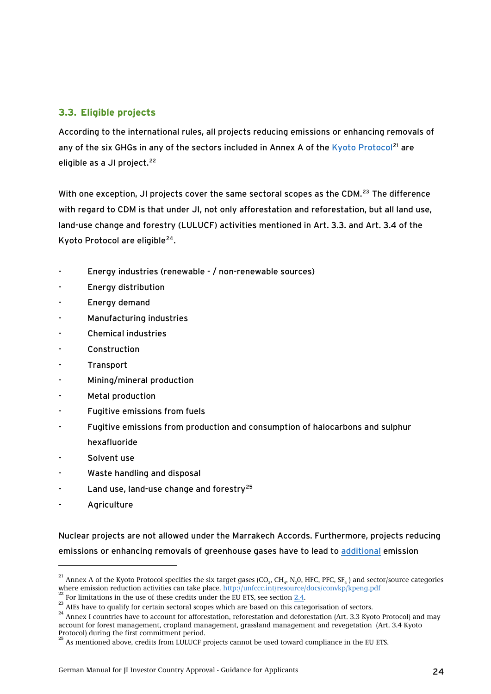# <span id="page-23-0"></span>**3.3. Eligible projects**

According to the international rules, all projects reducing emissions or enhancing removals of any of the six GHGs in any of the sectors included in Annex A of the [Kyoto Protocol](http://unfccc.int/resource/docs/convkp/kpeng.pdf)<sup>[21](#page-23-0)</sup> are eligible as a JI project.<sup>[22](#page-23-0)</sup>

With one exception, JI projects cover the same sectoral scopes as the CDM.<sup>[23](#page-23-0)</sup> The difference with regard to CDM is that under JI, not only afforestation and reforestation, but all land use, land-use change and forestry (LULUCF) activities mentioned in Art. 3.3. and Art. 3.4 of the Kyoto Protocol are eligible<sup>[24](#page-23-0)</sup>.

- Energy industries (renewable / non-renewable sources)
- Energy distribution
- Energy demand
- Manufacturing industries
- Chemical industries
- Construction
- Transport
- Mining/mineral production
- Metal production
- Fugitive emissions from fuels
- Fugitive emissions from production and consumption of halocarbons and sulphur hexafluoride
- Solvent use
- Waste handling and disposal
- Land use, land-use change and forestry<sup>[25](#page-23-0)</sup>
- **Agriculture**

-

Nuclear projects are not allowed under the Marrakech Accords. Furthermore, projects reducing emissions or enhancing removals of greenhouse gases have to lead to [additional](#page-51-1) emission

<sup>&</sup>lt;sup>21</sup> Annex A of the Kyoto Protocol specifies the six target gases (CO<sub>2</sub>, CH<sub>4</sub>, N<sub>2</sub>0, HFC, PFC, SF<sub>6</sub>) and sector/source categories where emission reduction activities can take place. <u>http://unfccc.int/resource/docs/co</u>

<sup>&</sup>lt;sup>22</sup> For limitations in the use of these credits under the EU ETS, see section <u>2.4</u>.<br><sup>23</sup> AIEs have to qualify for certain sectoral scopes which are based on this categorisation of sectors.<br><sup>24</sup> Annex I countries have to account for forest management, cropland management, grassland management and revegetation (Art. 3.4 Kyoto Protocol) during the first commitment period.<br>
<sup>25</sup> Ac matrix is the first commitment period.

<sup>25</sup> As mentioned above, credits from LULUCF projects cannot be used toward compliance in the EU ETS.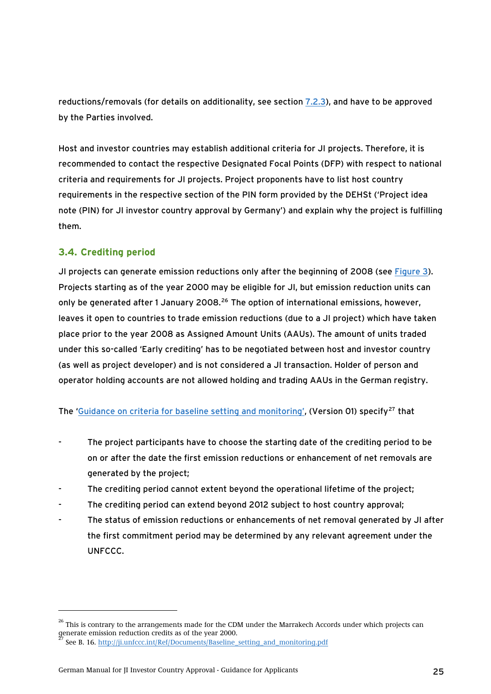<span id="page-24-0"></span>reductions/removals (for details on additionality, see section [7.2.3](#page-51-2)), and have to be approved by the Parties involved.

Host and investor countries may establish additional criteria for JI projects. Therefore, it is recommended to contact the respective Designated Focal Points (DFP) with respect to national criteria and requirements for JI projects. Project proponents have to list host country requirements in the respective section of the PIN form provided by the DEHSt ('Project idea note (PIN) for JI investor country approval by Germany') and explain why the project is fulfilling them.

# **3.4. Crediting period**

-

JI projects can generate emission reductions only after the beginning of 2008 (see [Figure 3](#page-25-1)). Projects starting as of the year 2000 may be eligible for JI, but emission reduction units can only be generated after 1 January 2008.<sup>[26](#page-24-0)</sup> The option of international emissions, however, leaves it open to countries to trade emission reductions (due to a JI project) which have taken place prior to the year 2008 as Assigned Amount Units (AAUs). The amount of units traded under this so-called 'Early crediting' has to be negotiated between host and investor country (as well as project developer) and is not considered a JI transaction. Holder of person and operator holding accounts are not allowed holding and trading AAUs in the German registry.

The '[Guidance on criteria for baseline setting and monitoring'](http://ji.unfccc.int/Ref/Documents/Baseline_setting_and_monitoring.pdf), (Version 01) specify<sup>[27](#page-24-0)</sup> that

- The project participants have to choose the starting date of the crediting period to be on or after the date the first emission reductions or enhancement of net removals are generated by the project;
- The crediting period cannot extent beyond the operational lifetime of the project;
- The crediting period can extend beyond 2012 subject to host country approval;
- The status of emission reductions or enhancements of net removal generated by JI after the first commitment period may be determined by any relevant agreement under the UNFCCC.

<sup>&</sup>lt;sup>26</sup> This is contrary to the arrangements made for the CDM under the Marrakech Accords under which projects can generate emission reduction credits as of the year 2000.

See B. 16. [http://ji.unfccc.int/Ref/Documents/Baseline\\_setting\\_and\\_monitoring.pdf](http://ji.unfccc.int/Ref/Documents/Baseline_setting_and_monitoring.pdf)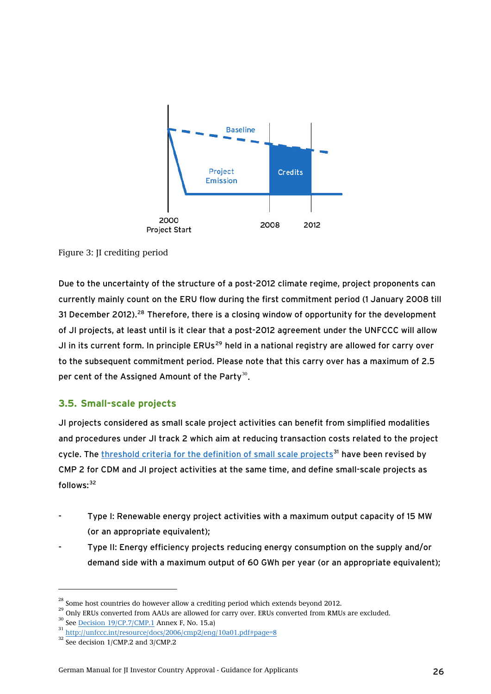<span id="page-25-1"></span><span id="page-25-0"></span>

## Figure 3: JI crediting period

Due to the uncertainty of the structure of a post-2012 climate regime, project proponents can currently mainly count on the ERU flow during the first commitment period (1 January 2008 till 31 December 2012).<sup>[28](#page-25-0)</sup> Therefore, there is a closing window of opportunity for the development of JI projects, at least until is it clear that a post-2012 agreement under the UNFCCC will allow JI in its current form. In principle ERUs<sup>[29](#page-25-0)</sup> held in a national registry are allowed for carry over to the subsequent commitment period. Please note that this carry over has a maximum of 2.5 per cent of the Assigned Amount of the Party $^{30}$ .

## **3.5. Small-scale projects**

JI projects considered as small scale project activities can benefit from simplified modalities and procedures under JI track 2 which aim at reducing transaction costs related to the project cycle. The [threshold criteria for the definition of small scale projects](http://unfccc.int/resource/docs/2006/cmp2/eng/10a01.pdf#page=8)<sup>[31](#page-25-0)</sup> have been revised by CMP 2 for CDM and JI project activities at the same time, and define small-scale projects as follows: [32](#page-25-0)

- Type I: Renewable energy project activities with a maximum output capacity of 15 MW (or an appropriate equivalent);
- Type II: Energy efficiency projects reducing energy consumption on the supply and/or demand side with a maximum output of 60 GWh per year (or an appropriate equivalent);

<sup>&</sup>lt;sup>28</sup> Some host countries do however allow a crediting period which extends beyond 2012.<br><sup>29</sup> Only ERUs converted from AAUs are allowed for carry over. ERUs converted from RMUs are excluded.<br><sup>30</sup> See <u>Decision 19/CP.7/CMP.</u>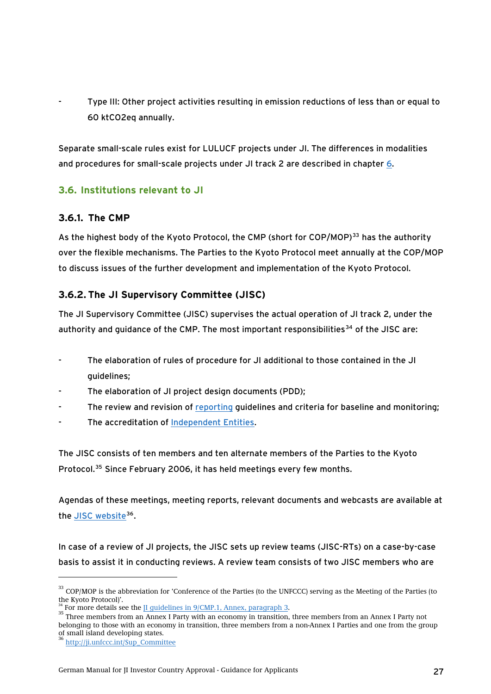<span id="page-26-0"></span>Type III: Other project activities resulting in emission reductions of less than or equal to 60 ktCO2eq annually.

Separate small-scale rules exist for LULUCF projects under JI. The differences in modalities and procedures for small-scale projects under JI track 2 are described in chapter [6](#page-47-1).

# **3.6. Institutions relevant to JI**

## **3.6.1. The CMP**

As the highest body of the Kyoto Protocol, the CMP (short for COP/MOP)<sup>[33](#page-26-0)</sup> has the authority over the flexible mechanisms. The Parties to the Kyoto Protocol meet annually at the COP/MOP to discuss issues of the further development and implementation of the Kyoto Protocol.

# **3.6.2. The JI Supervisory Committee (JISC)**

The JI Supervisory Committee (JISC) supervises the actual operation of JI track 2, under the authority and quidance of the CMP. The most important responsibilities<sup>[34](#page-26-0)</sup> of the JISC are:

- The elaboration of rules of procedure for JI additional to those contained in the JI guidelines;
- The elaboration of JI project design documents (PDD);
- The review and revision of [reporting](http://ji.unfccc.int/AIEs) guidelines and criteria for baseline and monitoring;
- The accreditation of [Independent Entities](#page-28-0).

The JISC consists of ten members and ten alternate members of the Parties to the Kyoto Protocol.[35](#page-26-0) Since February 2006, it has held meetings every few months.

Agendas of these meetings, meeting reports, relevant documents and webcasts are available at the [JISC website](http://ji.unfccc.int/Sup_Committee)<sup>[36](#page-26-0)</sup>.

In case of a review of JI projects, the JISC sets up review teams (JISC-RTs) on a case-by-case basis to assist it in conducting reviews. A review team consists of two JISC members who are

<sup>35</sup> Three members from an Annex I Party with an economy in transition, three members from an Annex I Party not belonging to those with an economy in transition, three members from a non-Annex I Parties and one from the group of small island developing states.

<sup>&</sup>lt;sup>33</sup> COP/MOP is the abbreviation for 'Conference of the Parties (to the UNFCCC) serving as the Meeting of the Parties (to the Kyoto Protocol)'.<br><sup>34</sup> For more details see the II quidelines in 9/CMP.1, Annex, paragraph 3.

<sup>36</sup> [http://ji.unfccc.int/Sup\\_Committee](http://ji.unfccc.int/Sup_Committee)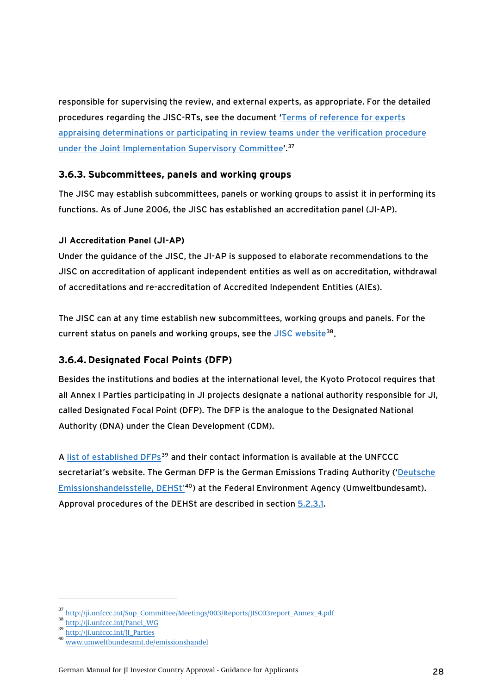<span id="page-27-0"></span>responsible for supervising the review, and external experts, as appropriate. For the detailed procedures regarding the JISC-RTs, see the document ['Terms of reference for experts](http://ji.unfccc.int/Sup_Committee/Meetings/003/Reports/JISC03report_Annex_4.pdf)  [appraising determinations or participating in review teams under the verification procedure](http://ji.unfccc.int/Sup_Committee/Meetings/003/Reports/JISC03report_Annex_4.pdf)  [under the Joint Implementation Supervisory Committee'](http://ji.unfccc.int/Sup_Committee/Meetings/003/Reports/JISC03report_Annex_4.pdf).[37](#page-27-0)

## **3.6.3. Subcommittees, panels and working groups**

The JISC may establish subcommittees, panels or working groups to assist it in performing its functions. As of June 2006, the JISC has established an accreditation panel (JI-AP).

## **JI Accreditation Panel (JI-AP)**

Under the guidance of the JISC, the JI-AP is supposed to elaborate recommendations to the JISC on accreditation of applicant independent entities as well as on accreditation, withdrawal of accreditations and re-accreditation of Accredited Independent Entities (AIEs).

The JISC can at any time establish new subcommittees, working groups and panels. For the current status on panels and working groups, see the [JISC website](http://ji.unfccc.int/Panel_WG)<sup>[38](#page-27-0)</sup>.

## **3.6.4. Designated Focal Points (DFP)**

Besides the institutions and bodies at the international level, the Kyoto Protocol requires that all Annex I Parties participating in JI projects designate a national authority responsible for JI, called Designated Focal Point (DFP). The DFP is the analogue to the Designated National Authority (DNA) under the Clean Development (CDM).

A [list of established DFPs](http://ji.unfccc.int/JI_Parties)<sup>[39](#page-27-0)</sup> and their contact information is available at the UNFCCC secretariat's website. The German DFP is the German Emissions Trading Authority ('Deutsche [Emissionshandelsstelle, DEHSt'](http://www.dehst.de/)[40](#page-27-0)) at the Federal Environment Agency (Umweltbundesamt). Approval procedures of the DEHSt are described in section [5.2.3.1](#page-37-0).

<sup>37</sup> [http://ji.unfccc.int/Sup\\_Committee/Meetings/003/Reports/JISC03report\\_Annex\\_4.pdf](http://ji.unfccc.int/Sup_Committee/Meetings/003/Reports/JISC03report_Annex_4.pdf)

<sup>38</sup> [http://ji.unfccc.int/Panel\\_WG](http://ji.unfccc.int/Panel_WG)

<sup>39</sup> [http://ji.unfccc.int/JI\\_Parties](http://ji.unfccc.int/JI_Parties)

<sup>40</sup> [www.umweltbundesamt.de/emissionshandel](http://www.umweltbundesamt.de/emissionshandel)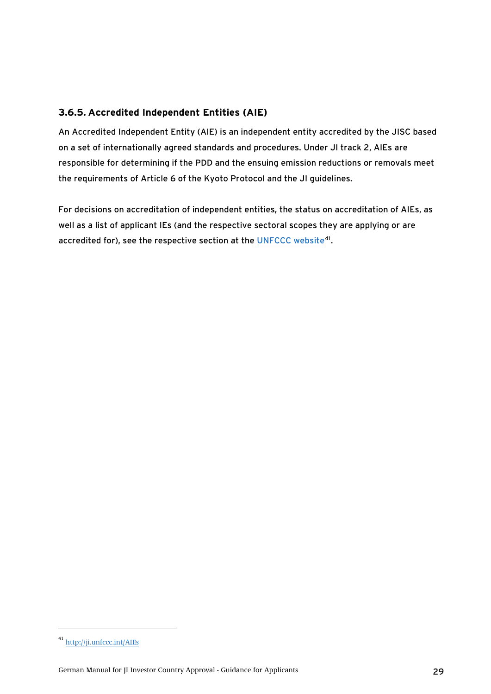# <span id="page-28-0"></span>**3.6.5. Accredited Independent Entities (AIE)**

An Accredited Independent Entity (AIE) is an independent entity accredited by the JISC based on a set of internationally agreed standards and procedures. Under JI track 2, AIEs are responsible for determining if the PDD and the ensuing emission reductions or removals meet the requirements of Article 6 of the Kyoto Protocol and the JI guidelines.

For decisions on accreditation of independent entities, the status on accreditation of AIEs, as well as a list of applicant IEs (and the respective sectoral scopes they are applying or are accredited for), see the respective section at the [UNFCCC website](http://ji.unfccc.int/AIEs)<sup>[41](#page-28-0)</sup>.

<sup>41</sup> <http://ji.unfccc.int/AIEs>

German Manual for JI Investor Country Approval - Guidance for Applicants 29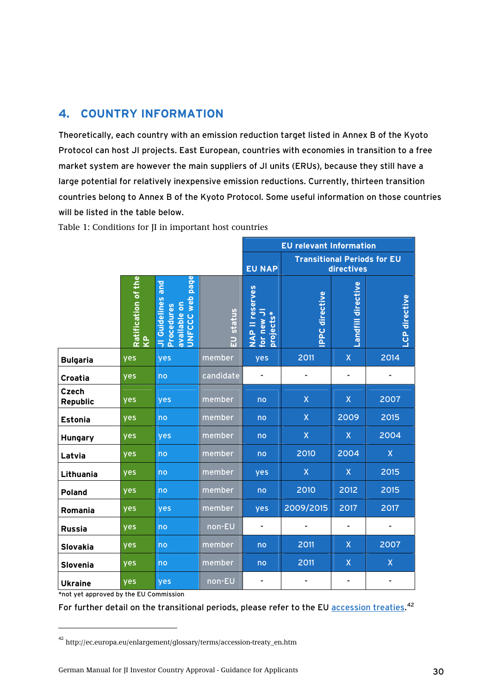# <span id="page-29-0"></span>**4. COUNTRY INFORMATION**

Theoretically, each country with an emission reduction target listed in Annex B of the Kyoto Protocol can host JI projects. East European, countries with economies in transition to a free market system are however the main suppliers of JI units (ERUs), because they still have a large potential for relatively inexpensive emission reductions. Currently, thirteen transition countries belong to Annex B of the Kyoto Protocol. Some useful information on those countries will be listed in the table below.

|                          |                                                |                                                                                    |           | <b>EU relevant Information</b>                                    |                         |                         |                         |               |
|--------------------------|------------------------------------------------|------------------------------------------------------------------------------------|-----------|-------------------------------------------------------------------|-------------------------|-------------------------|-------------------------|---------------|
|                          |                                                |                                                                                    |           | <b>Transitional Periods for EU</b><br><b>EU NAP</b><br>directives |                         |                         |                         |               |
|                          | Ratification of the<br>$\overline{\mathbf{r}}$ | page<br><b>Due</b><br>web<br>JI Guidelines<br>available on<br>Procedures<br>UNFCCC | EU status | <b>NAP II reserves</b><br>for new JI<br>projects*                 | <b>PPC directive</b>    | Landfill directive      |                         | LCP directive |
| <b>Bulgaria</b>          | yes                                            | yes                                                                                | member    | yes                                                               | 2011                    | $\mathsf X$             | 2014                    |               |
| Croatia                  | yes                                            | no                                                                                 | candidate |                                                                   |                         |                         |                         |               |
| <b>Czech</b><br>Republic | yes                                            | yes                                                                                | member    | no                                                                | $\mathsf{X}$            | $\pmb{\mathsf{X}}$      | 2007                    |               |
| <b>Estonia</b>           | yes                                            | no                                                                                 | member    | no                                                                | $\mathsf{X}$            | 2009                    | 2015                    |               |
| Hungary                  | yes                                            | <b>ves</b>                                                                         | member    | no                                                                | $\overline{\mathsf{X}}$ | $\mathsf{X}$            | 2004                    |               |
| Latvia                   | yes                                            | no                                                                                 | member    | no                                                                | 2010                    | 2004                    | $\overline{\mathsf{X}}$ |               |
| Lithuania                | yes                                            | no                                                                                 | member    | yes                                                               | $\overline{\mathsf{X}}$ | $\overline{\mathsf{X}}$ | 2015                    |               |
| Poland                   | yes                                            | no                                                                                 | member    | no                                                                | 2010                    | 2012                    | 2015                    |               |
| Romania                  | yes                                            | yes                                                                                | member    | yes                                                               | 2009/2015               | 2017                    | 2017                    |               |
| <b>Russia</b>            | yes                                            | no                                                                                 | non-EU    |                                                                   |                         |                         |                         |               |
| Slovakia                 | yes                                            | no                                                                                 | member    | no                                                                | 2011                    | X                       | 2007                    |               |
| Slovenia                 | yes                                            | no                                                                                 | member    | no                                                                | 2011                    | $\overline{X}$          | $\mathsf{X}$            |               |
| <b>Ukraine</b>           | yes                                            | yes                                                                                | non-EU    |                                                                   |                         |                         |                         |               |

<span id="page-29-1"></span>Table 1: Conditions for JI in important host countries

\*not yet approved by the EU Commission

-

For further detail on the transitional periods, please refer to the EU [accession treaties.](http://ec.europa.eu/enlargement/glossary/terms/accession-treaty_en.htm)<sup>[42](#page-29-0)</sup>

 $^{\rm 42}$ http://ec.europa.eu/enlargement/glossary/terms/accession-treaty\_en.htm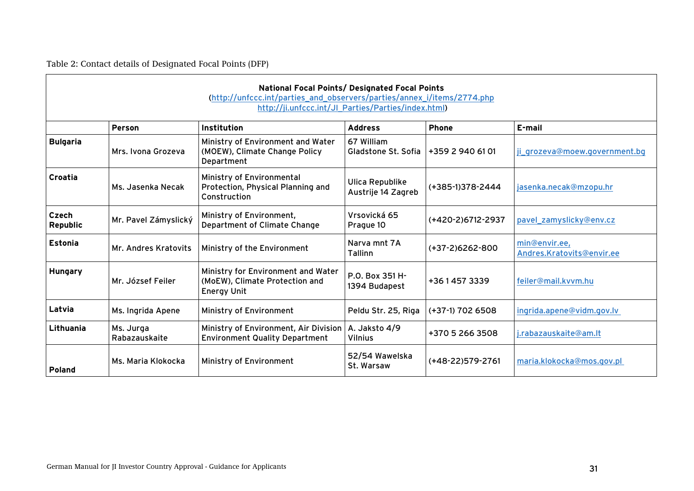Table 2: Contact details of Designated Focal Points (DFP)

 $\overline{a}$ 

<span id="page-30-0"></span>

|                   |                            | National Focal Points/ Designated Focal Points<br>(http://unfccc.int/parties_and_observers/parties/annex_i/items/2774.php<br>http://ji.unfccc.int/JI_Parties/Parties/index.html) |                                       |                   |                                            |
|-------------------|----------------------------|----------------------------------------------------------------------------------------------------------------------------------------------------------------------------------|---------------------------------------|-------------------|--------------------------------------------|
|                   | <b>Person</b>              | Institution                                                                                                                                                                      | <b>Address</b>                        | <b>Phone</b>      | E-mail                                     |
| <b>Bulgaria</b>   | Mrs. Ivona Grozeva         | Ministry of Environment and Water<br>(MOEW), Climate Change Policy<br>Department                                                                                                 | 67 William<br>Gladstone St. Sofia     | +359 2 940 61 01  | ji_grozeva@moew.government.bg              |
| Croatia           | Ms. Jasenka Necak          | Ministry of Environmental<br>Protection, Physical Planning and<br>Construction                                                                                                   | Ulica Republike<br>Austrije 14 Zagreb | (+385-1)378-2444  | jasenka.necak@mzopu.hr                     |
| Czech<br>Republic | Mr. Pavel Zámyslický       | Ministry of Environment,<br>Department of Climate Change                                                                                                                         | Vrsovická 65<br>Prague 10             | (+420-2)6712-2937 | pavel_zamyslicky@env.cz                    |
| Estonia           | Mr. Andres Kratovits       | Ministry of the Environment                                                                                                                                                      | Narva mnt 7A<br>Tallinn               | $(+37-2)6262-800$ | min@envir.ee,<br>Andres.Kratovits@envir.ee |
| <b>Hungary</b>    | Mr. József Feiler          | Ministry for Environment and Water<br>(MoEW), Climate Protection and<br><b>Energy Unit</b>                                                                                       | P.O. Box 351 H-<br>1394 Budapest      | +3614573339       | feiler@mail.kvvm.hu                        |
| Latvia            | Ms. Ingrida Apene          | Ministry of Environment                                                                                                                                                          | Peldu Str. 25, Riga                   | (+37-1) 702 6508  | ingrida.apene@vidm.gov.lv                  |
| Lithuania         | Ms. Jurga<br>Rabazauskaite | Ministry of Environment, Air Division<br><b>Environment Quality Department</b>                                                                                                   | A. Jaksto 4/9<br><b>Vilnius</b>       | +370 5 266 3508   | j.rabazauskaite@am.lt                      |
| <b>Poland</b>     | Ms. Maria Klokocka         | Ministry of Environment                                                                                                                                                          | 52/54 Wawelska<br>St. Warsaw          | (+48-22)579-2761  | maria.klokocka@mos.gov.pl                  |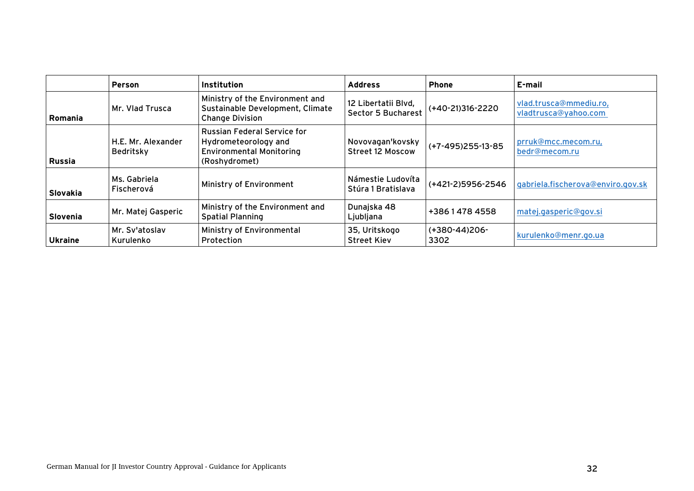|                 | <b>Person</b>                   | Institution                                                                                                    | <b>Address</b>                                   | <b>Phone</b>          | E-mail                                         |
|-----------------|---------------------------------|----------------------------------------------------------------------------------------------------------------|--------------------------------------------------|-----------------------|------------------------------------------------|
| Romania         | Mr. Vlad Trusca                 | Ministry of the Environment and<br>Sustainable Development, Climate<br><b>Change Division</b>                  | 12 Libertatii Blvd,<br><b>Sector 5 Bucharest</b> | $( +40-21)316-2220$   | vlad.trusca@mmediu.ro,<br>vladtrusca@yahoo.com |
| <b>Russia</b>   | H.E. Mr. Alexander<br>Bedritsky | <b>Russian Federal Service for</b><br>Hydrometeorology and<br><b>Environmental Monitoring</b><br>(Roshydromet) | Novovagan'kovsky<br><b>Street 12 Moscow</b>      | $(+7-495)255-13-85$   | prruk@mcc.mecom.ru,<br>bedr@mecom.ru           |
| Slovakia        | Ms. Gabriela<br>Fischerová      | Ministry of Environment                                                                                        | Námestie Ludovíta<br>Stúra 1 Bratislava          | (+421-2)5956-2546     | gabriela.fischerova@enviro.gov.sk              |
| <b>Slovenia</b> | Mr. Matej Gasperic              | Ministry of the Environment and<br><b>Spatial Planning</b>                                                     | Dunajska 48<br>Ljubljana                         | +38614784558          | matej.gasperic@gov.si                          |
| <b>Ukraine</b>  | Mr. Sv'atoslav<br>Kurulenko     | Ministry of Environmental<br>Protection                                                                        | 35, Uritskogo<br><b>Street Kiev</b>              | (+380-44)206-<br>3302 | kurulenko@menr.go.ua                           |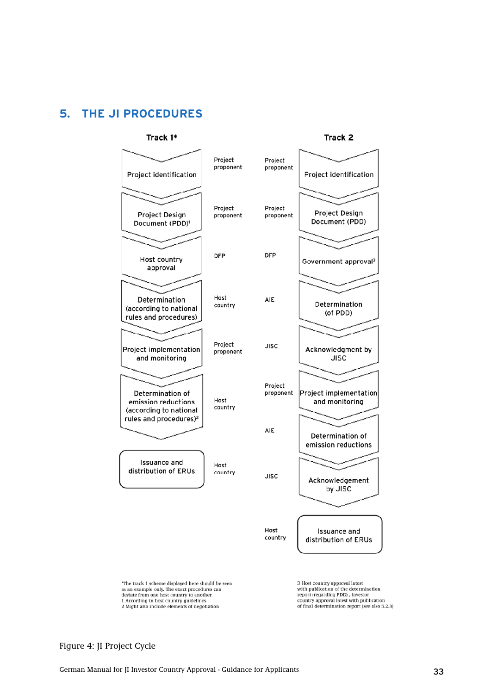# <span id="page-32-1"></span><span id="page-32-0"></span>**5. THE JI PROCEDURES**



Figure 4: JI Project Cycle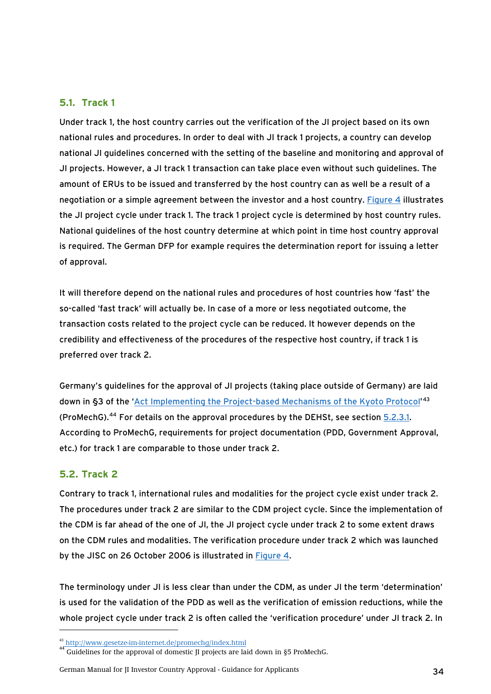## <span id="page-33-0"></span>**5.1. Track 1**

Under track 1, the host country carries out the verification of the JI project based on its own national rules and procedures. In order to deal with JI track 1 projects, a country can develop national JI guidelines concerned with the setting of the baseline and monitoring and approval of JI projects. However, a JI track 1 transaction can take place even without such guidelines. The amount of ERUs to be issued and transferred by the host country can as well be a result of a negotiation or a simple agreement between the investor and a host country. [Figure 4](#page-32-1) illustrates the JI project cycle under track 1. The track 1 project cycle is determined by host country rules. National guidelines of the host country determine at which point in time host country approval is required. The German DFP for example requires the determination report for issuing a letter of approval.

It will therefore depend on the national rules and procedures of host countries how 'fast' the so-called 'fast track' will actually be. In case of a more or less negotiated outcome, the transaction costs related to the project cycle can be reduced. It however depends on the credibility and effectiveness of the procedures of the respective host country, if track 1 is preferred over track 2.

Germany's guidelines for the approval of JI projects (taking place outside of Germany) are laid down in §3 of the 'Act Implementing the Project-based Mechanisms of the Kyoto Protocol<sup>1[43](#page-33-0)</sup> (ProMechG).<sup>[44](#page-33-0)</sup> For details on the approval procedures by the DEHSt, see section [5.2.3.1](#page-37-0). According to ProMechG, requirements for project documentation (PDD, Government Approval, etc.) for track 1 are comparable to those under track 2.

## **5.2. Track 2**

-

Contrary to track 1, international rules and modalities for the project cycle exist under track 2. The procedures under track 2 are similar to the CDM project cycle. Since the implementation of the CDM is far ahead of the one of JI, the JI project cycle under track 2 to some extent draws on the CDM rules and modalities. The verification procedure under track 2 which was launched by the JISC on 26 October 2006 is illustrated in [Figure 4.](#page-32-1)

The terminology under JI is less clear than under the CDM, as under JI the term 'determination' is used for the validation of the PDD as well as the verification of emission reductions, while the whole project cycle under track 2 is often called the 'verification procedure' under JI track 2. In

German Manual for JI Investor Country Approval - Guidance for Applicants 34

 $^{43}$  http://www.gesetze-im-internet.de/promechg/index.html<br> $^{44}$  Guidelines for the approval of domestic II projects are laid down in §5 ProMechG.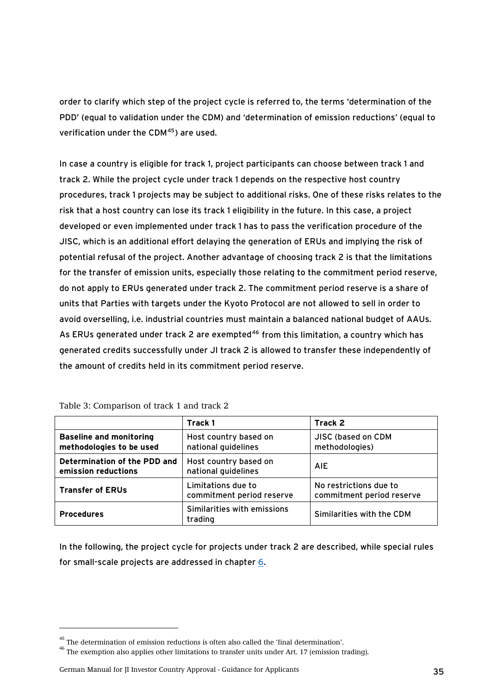<span id="page-34-0"></span>order to clarify which step of the project cycle is referred to, the terms 'determination of the PDD' (equal to validation under the CDM) and 'determination of emission reductions' (equal to verification under the CDM<sup>[45](#page-34-0)</sup>) are used.

In case a country is eligible for track 1, project participants can choose between track 1 and track 2. While the project cycle under track 1 depends on the respective host country procedures, track 1 projects may be subject to additional risks. One of these risks relates to the risk that a host country can lose its track 1 eligibility in the future. In this case, a project developed or even implemented under track 1 has to pass the verification procedure of the JISC, which is an additional effort delaying the generation of ERUs and implying the risk of potential refusal of the project. Another advantage of choosing track 2 is that the limitations for the transfer of emission units, especially those relating to the commitment period reserve, do not apply to ERUs generated under track 2. The commitment period reserve is a share of units that Parties with targets under the Kyoto Protocol are not allowed to sell in order to avoid overselling, i.e. industrial countries must maintain a balanced national budget of AAUs. As ERUs generated under track 2 are exempted<sup>[46](#page-34-0)</sup> from this limitation, a country which has generated credits successfully under JI track 2 is allowed to transfer these independently of the amount of credits held in its commitment period reserve.

|                                                            | Track 1                                         | Track 2                                             |
|------------------------------------------------------------|-------------------------------------------------|-----------------------------------------------------|
| <b>Baseline and monitoring</b><br>methodologies to be used | Host country based on<br>national guidelines    | JISC (based on CDM<br>methodologies)                |
| Determination of the PDD and<br>emission reductions        | Host country based on<br>national guidelines    | <b>AIE</b>                                          |
| <b>Transfer of ERUs</b>                                    | Limitations due to<br>commitment period reserve | No restrictions due to<br>commitment period reserve |
| <b>Procedures</b>                                          | Similarities with emissions<br>trading          | Similarities with the CDM                           |

|  |  | Table 3: Comparison of track 1 and track 2 |  |  |
|--|--|--------------------------------------------|--|--|
|--|--|--------------------------------------------|--|--|

In the following, the project cycle for projects under track 2 are described, while special rules for small-scale projects are addressed in chapter [6.](#page-47-1)

<sup>&</sup>lt;sup>45</sup> The determination of emission reductions is often also called the 'final determination'.<br><sup>46</sup> The exemption also applies other limitations to transfer units under Art. 17 (emission trading).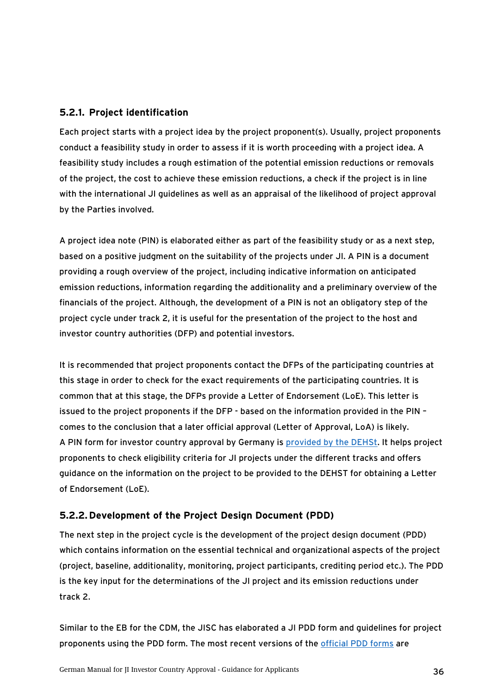## <span id="page-35-0"></span>**5.2.1. Project identification**

Each project starts with a project idea by the project proponent(s). Usually, project proponents conduct a feasibility study in order to assess if it is worth proceeding with a project idea. A feasibility study includes a rough estimation of the potential emission reductions or removals of the project, the cost to achieve these emission reductions, a check if the project is in line with the international JI guidelines as well as an appraisal of the likelihood of project approval by the Parties involved.

A project idea note (PIN) is elaborated either as part of the feasibility study or as a next step, based on a positive judgment on the suitability of the projects under JI. A PIN is a document providing a rough overview of the project, including indicative information on anticipated emission reductions, information regarding the additionality and a preliminary overview of the financials of the project. Although, the development of a PIN is not an obligatory step of the project cycle under track 2, it is useful for the presentation of the project to the host and investor country authorities (DFP) and potential investors.

It is recommended that project proponents contact the DFPs of the participating countries at this stage in order to check for the exact requirements of the participating countries. It is common that at this stage, the DFPs provide a Letter of Endorsement (LoE). This letter is issued to the project proponents if the DFP - based on the information provided in the PIN – comes to the conclusion that a later official approval (Letter of Approval, LoA) is likely. A PIN form for investor country approval by Germany is [provided by the DEHSt.](http://www.dehst.de/cln_531/nn_476194/SharedDocs/Downloads/DE/JI__CDM/JI__Manual__Formular__englisch,templateId=raw,property=publicationFile.pdf/JI_Manual_Formular_englisch.pdf) It helps project proponents to check eligibility criteria for JI projects under the different tracks and offers guidance on the information on the project to be provided to the DEHST for obtaining a Letter of Endorsement (LoE).

## **5.2.2. Development of the Project Design Document (PDD)**

The next step in the project cycle is the development of the project design document (PDD) which contains information on the essential technical and organizational aspects of the project (project, baseline, additionality, monitoring, project participants, crediting period etc.). The PDD is the key input for the determinations of the JI project and its emission reductions under track 2.

Similar to the EB for the CDM, the JISC has elaborated a JI PDD form and guidelines for project proponents using the PDD form. The most recent versions of the [official PDD forms](http://ji.unfccc.int/Ref/Forms.html) are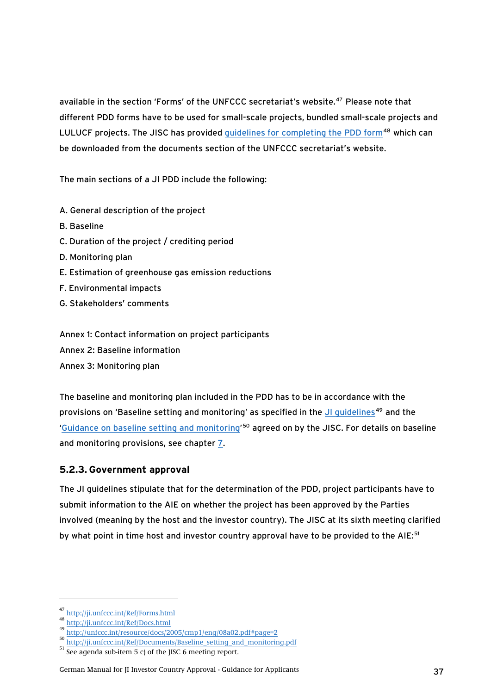<span id="page-36-1"></span><span id="page-36-0"></span>available in the section 'Forms' of the UNFCCC secretariat's website.[47](#page-36-0) Please note that different PDD forms have to be used for small-scale projects, bundled small-scale projects and LULUCF projects. The JISC has provided quidelines for completing the PDD form<sup>[48](#page-36-0)</sup> which can be downloaded from the documents section of the UNFCCC secretariat's website.

The main sections of a JI PDD include the following:

- A. General description of the project
- B. Baseline
- C. Duration of the project / crediting period
- D. Monitoring plan
- E. Estimation of greenhouse gas emission reductions
- F. Environmental impacts
- G. Stakeholders' comments

Annex 1: Contact information on project participants

- Annex 2: Baseline information
- Annex 3: Monitoring plan

The baseline and monitoring plan included in the PDD has to be in accordance with the provisions on 'Baseline setting and monitoring' as specified in the [JI guidelines](http://unfccc.int/resource/docs/2005/cmp1/eng/08a02.pdf#page=2)<sup>[49](#page-36-0)</sup> and the '[Guidance on baseline setting and monitoring](http://ji.unfccc.int/Ref/Documents/Baseline_setting_and_monitoring.pdf)<sup>'[50](#page-36-0)</sup> agreed on by the JISC. For details on baseline and monitoring provisions, see chapter [7.](#page-49-1)

## <span id="page-36-2"></span>**5.2.3. Government approval**

The JI guidelines stipulate that for the determination of the PDD, project participants have to submit information to the AIE on whether the project has been approved by the Parties involved (meaning by the host and the investor country). The JISC at its sixth meeting clarified by what point in time host and investor country approval have to be provided to the AIE:<sup>[51](#page-36-0)</sup>

<sup>&</sup>lt;sup>47</sup> <http://ji.unfccc.int/Ref/Forms.html><br><sup>48</sup> http://ji.unf<u>ccc.int/Ref/Docs.html</u>

<http://unfccc.int/resource/docs/2005/cmp1/eng/08a02.pdf#page=2>

 $^{50}$  [http://ji.unfccc.int/Ref/Documents/Baseline\\_setting\\_and\\_monitoring.pdf](http://ji.unfccc.int/Ref/Documents/Baseline_setting_and_monitoring.pdf)

 $51$  See agenda sub-item 5 c) of the JISC 6 meeting report.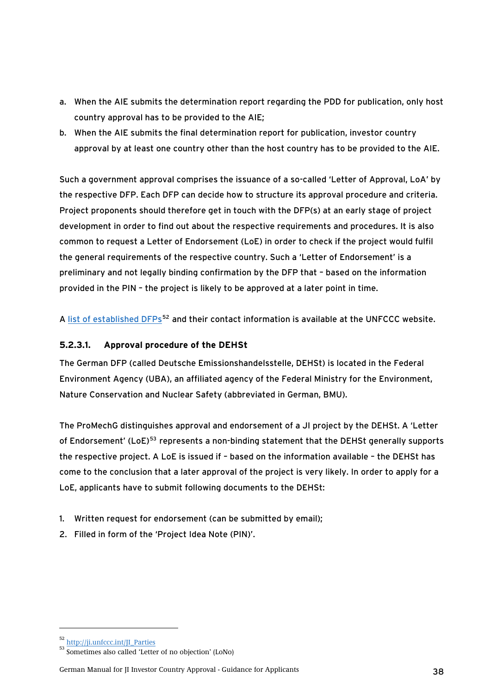- <span id="page-37-1"></span>a. When the AIE submits the determination report regarding the PDD for publication, only host country approval has to be provided to the AIE;
- b. When the AIE submits the final determination report for publication, investor country approval by at least one country other than the host country has to be provided to the AIE.

Such a government approval comprises the issuance of a so-called 'Letter of Approval, LoA' by the respective DFP. Each DFP can decide how to structure its approval procedure and criteria. Project proponents should therefore get in touch with the DFP(s) at an early stage of project development in order to find out about the respective requirements and procedures. It is also common to request a Letter of Endorsement (LoE) in order to check if the project would fulfil the general requirements of the respective country. Such a 'Letter of Endorsement' is a preliminary and not legally binding confirmation by the DFP that – based on the information provided in the PIN – the project is likely to be approved at a later point in time.

A [list of established DFPs](http://ji.unfccc.int/JI_Parties)<sup>[52](#page-37-1)</sup> and their contact information is available at the UNFCCC website.

## <span id="page-37-0"></span>**5.2.3.1. Approval procedure of the DEHSt**

The German DFP (called Deutsche Emissionshandelsstelle, DEHSt) is located in the Federal Environment Agency (UBA), an affiliated agency of the Federal Ministry for the Environment, Nature Conservation and Nuclear Safety (abbreviated in German, BMU).

The ProMechG distinguishes approval and endorsement of a JI project by the DEHSt. A 'Letter of Endorsement' (LoE)<sup>[53](#page-37-1)</sup> represents a non-binding statement that the DEHSt generally supports the respective project. A LoE is issued if – based on the information available – the DEHSt has come to the conclusion that a later approval of the project is very likely. In order to apply for a LoE, applicants have to submit following documents to the DEHSt:

- 1. Written request for endorsement (can be submitted by email);
- 2. Filled in form of the 'Project Idea Note (PIN)'.

<sup>52</sup> [http://ji.unfccc.int/JI\\_Parties](http://ji.unfccc.int/JI_Parties)

<sup>53</sup> Sometimes also called 'Letter of no objection' (LoNo)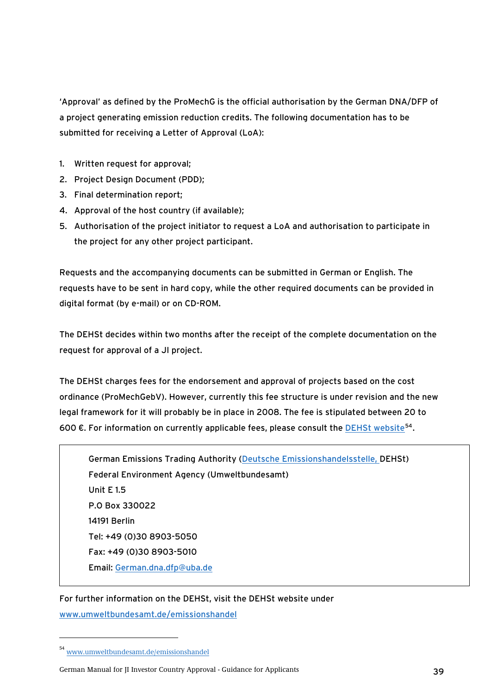<span id="page-38-0"></span>'Approval' as defined by the ProMechG is the official authorisation by the German DNA/DFP of a project generating emission reduction credits. The following documentation has to be submitted for receiving a Letter of Approval (LoA):

- 1. Written request for approval;
- 2. Project Design Document (PDD);
- 3. Final determination report;
- 4. Approval of the host country (if available);
- 5. Authorisation of the project initiator to request a LoA and authorisation to participate in the project for any other project participant.

Requests and the accompanying documents can be submitted in German or English. The requests have to be sent in hard copy, while the other required documents can be provided in digital format (by e-mail) or on CD-ROM.

The DEHSt decides within two months after the receipt of the complete documentation on the request for approval of a JI project.

The DEHSt charges fees for the endorsement and approval of projects based on the cost ordinance (ProMechGebV). However, currently this fee structure is under revision and the new legal framework for it will probably be in place in 2008. The fee is stipulated between 20 to 600  $\epsilon$ . For information on currently applicable fees, please consult the [DEHSt website](http://www.umweltbundesamt.de/emissionshandel)<sup>[54](#page-38-0)</sup>.

German Emissions Trading Authority ([Deutsche Emissionshandelsstelle,](http://www.dehst.de/) DEHSt) Federal Environment Agency (Umweltbundesamt) Unit E 1.5 P.O Box 330022 14191 Berlin Tel: +49 (0)30 8903-5050 Fax: +49 (0)30 8903-5010 Email: [German.dna.dfp@uba.de](mailto:German.dna.dfp@uba.de)

For further information on the DEHSt, visit the DEHSt website under

[www.umweltbundesamt.de/emissionshandel](http://www.umweltbundesamt.de/emissionshandel)

<sup>54</sup> [www.umweltbundesamt.de/emissionshandel](http://www.umweltbundesamt.de/emissionshandel)

German Manual for JI Investor Country Approval - Guidance for Applicants 39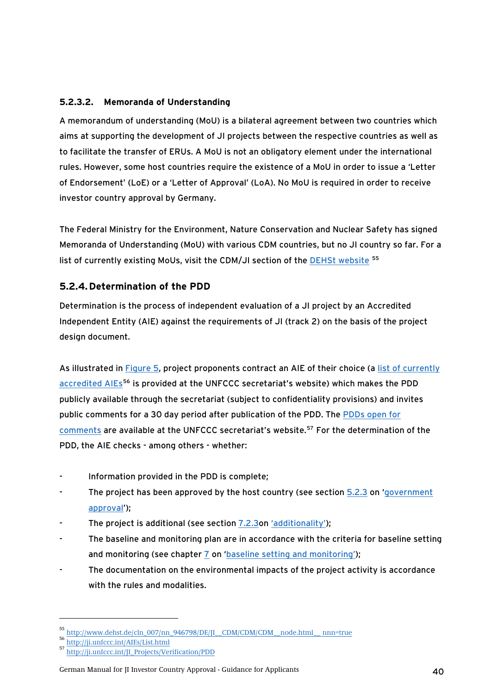## <span id="page-39-0"></span>**5.2.3.2. Memoranda of Understanding**

A memorandum of understanding (MoU) is a bilateral agreement between two countries which aims at supporting the development of JI projects between the respective countries as well as to facilitate the transfer of ERUs. A MoU is not an obligatory element under the international rules. However, some host countries require the existence of a MoU in order to issue a 'Letter of Endorsement' (LoE) or a 'Letter of Approval' (LoA). No MoU is required in order to receive investor country approval by Germany.

The Federal Ministry for the Environment, Nature Conservation and Nuclear Safety has signed Memoranda of Understanding (MoU) with various CDM countries, but no JI country so far. For a list of currently existing MoUs, visit the CDM/JI section of the [DEHSt website](http://www.dehst.de/cln_007/nn_946798/DE/JI__CDM/CDM/CDM__node.html__nnn=true) [55](#page-39-0)

# **5.2.4.Determination of the PDD**

Determination is the process of independent evaluation of a JI project by an Accredited Independent Entity (AIE) against the requirements of JI (track 2) on the basis of the project design document.

As illustrated in [Figure 5,](#page-40-1) project proponents contract an AIE of their choice (a list of currently [accredited AIEs](http://ji.unfccc.int/AIEs/List.html)<sup>[56](#page-39-0)</sup> is provided at the UNFCCC secretariat's website) which makes the PDD publicly available through the secretariat (subject to confidentiality provisions) and invites public comments for a 30 day period after publication of the PDD. The [PDDs open for](http://ji.unfccc.int/JI_Projects/Verification/PDD/index.html)  [comments](http://ji.unfccc.int/JI_Projects/Verification/PDD/index.html) are available at the UNFCCC secretariat's website.[57](#page-39-0) For the determination of the PDD, the AIE checks - among others - whether:

- Information provided in the PDD is complete;
- The project has been approved by the host country (see section [5.2.3](#page-36-2) on 'government [approval'](#page-0-0));
- The project is additional (see section [7.2.3o](#page-51-2)n ['additionality'](#page-51-1));
- The baseline and monitoring plan are in accordance with the criteria for baseline setting and monitoring (see chapter [7](#page-49-1) on ['baseline setting and monitoring'](#page-49-2));
- The documentation on the environmental impacts of the project activity is accordance with the rules and modalities.

<sup>55</sup> [http://www.dehst.de/cln\\_007/nn\\_946798/DE/JI\\_\\_CDM/CDM/CDM\\_\\_node.html\\_\\_ nnn=true](http://www.dehst.de/cln_007/nn_946798/DE/JI__CDM/CDM/CDM__node.html__%20nnn=true)

<sup>56</sup> <http://ji.unfccc.int/AIEs/List.html>

<sup>57</sup> [http://ji.unfccc.int/JI\\_Projects/Verification/PDD](http://ji.unfccc.int/JI_Projects/Verification/PDD)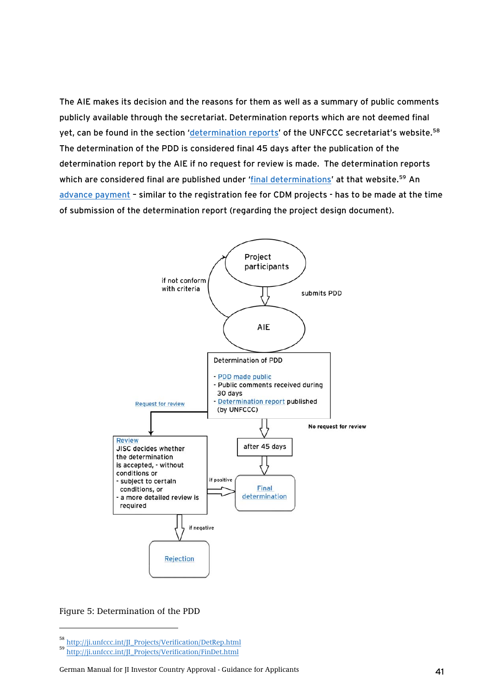<span id="page-40-1"></span><span id="page-40-0"></span>The AIE makes its decision and the reasons for them as well as a summary of public comments publicly available through the secretariat. Determination reports which are not deemed final yet, can be found in the section ['determination reports'](http://ji.unfccc.int/JI_Projects/Verification/DetRep.html) of the UNFCCC secretariat's website.<sup>[58](#page-40-0)</sup> The determination of the PDD is considered final 45 days after the publication of the determination report by the AIE if no request for review is made. The determination reports which are considered final are published under '[final determinations'](http://ji.unfccc.int/JI_Projects/Verification/FinDet.html) at that website.<sup>[59](#page-40-0)</sup> An [advance payment](#page-0-0) – similar to the registration fee for CDM projects - has to be made at the time of submission of the determination report (regarding the project design document).



#### Figure 5: Determination of the PDD

<sup>58</sup> [http://ji.unfccc.int/JI\\_Projects/Verification/DetRep.html](http://ji.unfccc.int/JI_Projects/Verification/DetRep.html)

<sup>59</sup> [http://ji.unfccc.int/JI\\_Projects/Verification/FinDet.html](http://ji.unfccc.int/JI_Projects/Verification/FinDet.html)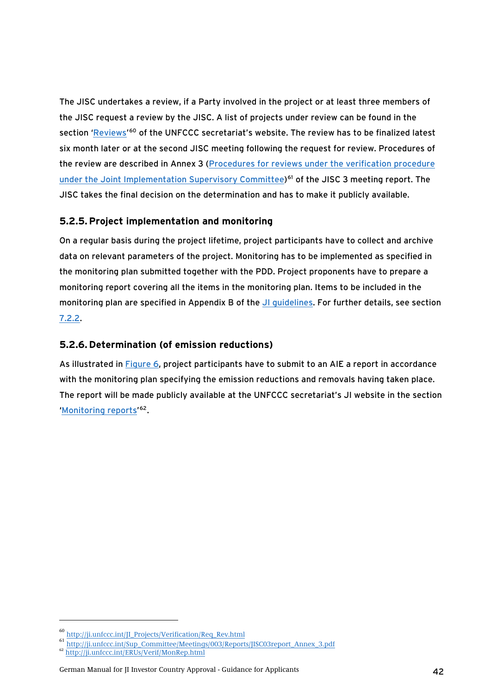<span id="page-41-0"></span>The JISC undertakes a review, if a Party involved in the project or at least three members of the JISC request a review by the JISC. A list of projects under review can be found in the section ['Reviews'](http://ji.unfccc.int/JI_Projects/Verification/Req_Rev.html)<sup>[60](#page-41-0)</sup> of the UNFCCC secretariat's website. The review has to be finalized latest six month later or at the second JISC meeting following the request for review. Procedures of the review are described in Annex 3 [\(Procedures for reviews under the verification procedure](http://ji.unfccc.int/Sup_Committee/Meetings/003/Reports/JISC03report_Annex_3.pdf)  [under the Joint Implementation Supervisory Committee\)](http://ji.unfccc.int/Sup_Committee/Meetings/003/Reports/JISC03report_Annex_3.pdf)<sup>[61](#page-41-0)</sup> of the JISC 3 meeting report. The JISC takes the final decision on the determination and has to make it publicly available.

# **5.2.5.Project implementation and monitoring**

On a regular basis during the project lifetime, project participants have to collect and archive data on relevant parameters of the project. Monitoring has to be implemented as specified in the monitoring plan submitted together with the PDD. Project proponents have to prepare a monitoring report covering all the items in the monitoring plan. Items to be included in the monitoring plan are specified in Appendix B of the [JI guidelines.](http://unfccc.int/resource/docs/2005/cmp1/eng/08a02.pdf#page=2) For further details, see section [7.2.2.](#page-50-1)

## **5.2.6. Determination (of emission reductions)**

As illustrated in [Figure 6,](#page-42-1) project participants have to submit to an AIE a report in accordance with the monitoring plan specifying the emission reductions and removals having taken place. The report will be made publicly available at the UNFCCC secretariat's JI website in the section '[Monitoring reports](http://ji.unfccc.int/ERUs/Verif/MonRep.html)' [62](#page-41-0).

<sup>60</sup> [http://ji.unfccc.int/JI\\_Projects/Verification/Req\\_Rev.html](http://ji.unfccc.int/JI_Projects/Verification/Req_Rev.html)

<sup>61</sup> [http://ji.unfccc.int/Sup\\_Committee/Meetings/003/Reports/JISC03report\\_Annex\\_3.pdf](http://ji.unfccc.int/Sup_Committee/Meetings/003/Reports/JISC03report_Annex_3.pdf)

<sup>62</sup> <http://ji.unfccc.int/ERUs/Verif/MonRep.html>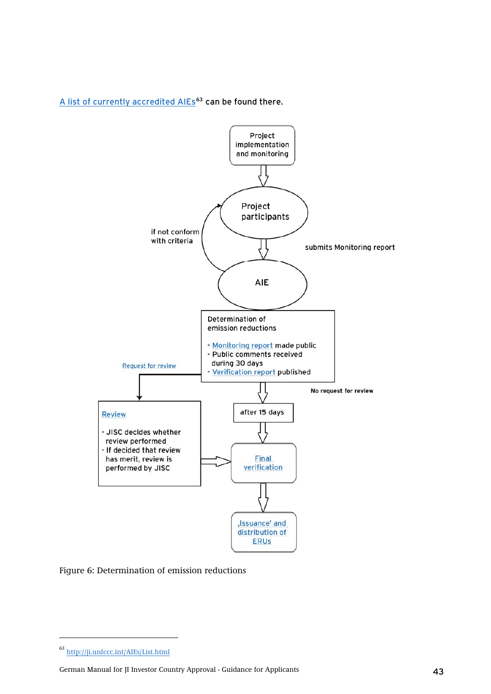<span id="page-42-1"></span><span id="page-42-0"></span>[A list of currently accredited AIEs](http://ji.unfccc.int/AIEs/List.html)<sup>[63](#page-42-0)</sup> can be found there.



Figure 6: Determination of emission reductions

<sup>63</sup> <http://ji.unfccc.int/AIEs/List.html>

German Manual for JI Investor Country Approval - Guidance for Applicants 43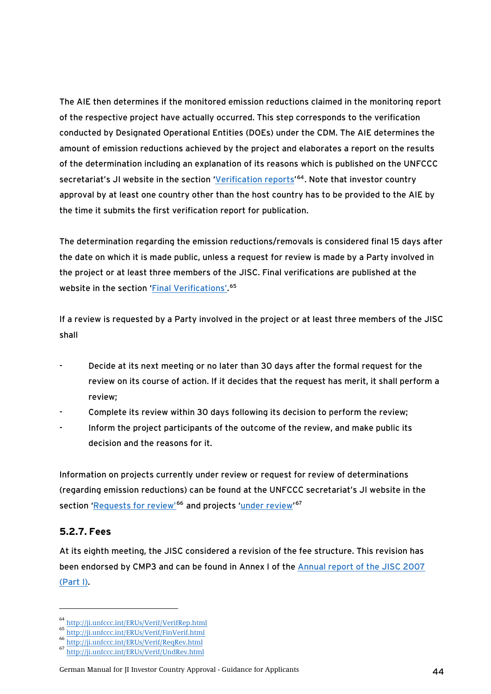<span id="page-43-0"></span>The AIE then determines if the monitored emission reductions claimed in the monitoring report of the respective project have actually occurred. This step corresponds to the verification conducted by Designated Operational Entities (DOEs) under the CDM. The AIE determines the amount of emission reductions achieved by the project and elaborates a report on the results of the determination including an explanation of its reasons which is published on the UNFCCC secretariat's JI website in the section '<u>Verification reports'</u><sup>[64](#page-43-0)</sup>. Note that investor country approval by at least one country other than the host country has to be provided to the AIE by the time it submits the first verification report for publication.

The determination regarding the emission reductions/removals is considered final 15 days after the date on which it is made public, unless a request for review is made by a Party involved in the project or at least three members of the JISC. Final verifications are published at the website in the section '*Final Verifications'*.<sup>[65](#page-43-0)</sup>

If a review is requested by a Party involved in the project or at least three members of the JISC shall

- Decide at its next meeting or no later than 30 days after the formal request for the review on its course of action. If it decides that the request has merit, it shall perform a review;
- Complete its review within 30 days following its decision to perform the review;
- Inform the project participants of the outcome of the review, and make public its decision and the reasons for it.

Information on projects currently under review or request for review of determinations (regarding emission reductions) can be found at the UNFCCC secretariat's JI website in the section ['Requests for review'](http://ji.unfccc.int/ERUs/Verif/ReqRev.html)<sup>[66](#page-43-0)</sup> and projects '[under review](http://ji.unfccc.int/ERUs/Verif/UndRev.html)'<sup>[67](#page-43-0)</sup>

## **5.2.7. Fees**

-

At its eighth meeting, the JISC considered a revision of the fee structure. This revision has been endorsed by CMP3 and can be found in Annex I of the [Annual report of the JISC 2007](http://unfccc.int/resource/docs/2007/cmp3/eng/04p01.pdf) [\(Part I\).](http://unfccc.int/resource/docs/2007/cmp3/eng/04p01.pdf)

<sup>64</sup> <http://ji.unfccc.int/ERUs/Verif/VerifRep.html>

<sup>65</sup> <http://ji.unfccc.int/ERUs/Verif/FinVerif.html>

<sup>66</sup> <http://ji.unfccc.int/ERUs/Verif/ReqRev.html>

<sup>67</sup> <http://ji.unfccc.int/ERUs/Verif/UndRev.html>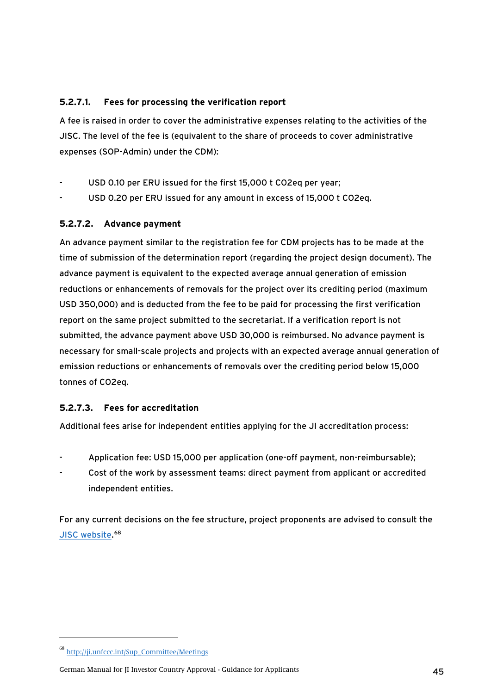## <span id="page-44-0"></span>**5.2.7.1. Fees for processing the verification report**

A fee is raised in order to cover the administrative expenses relating to the activities of the JISC. The level of the fee is (equivalent to the share of proceeds to cover administrative expenses (SOP-Admin) under the CDM):

- USD 0.10 per ERU issued for the first 15,000 t CO2eq per year;
- USD 0.20 per ERU issued for any amount in excess of 15,000 t CO2eq.

# **5.2.7.2. Advance payment**

An advance payment similar to the registration fee for CDM projects has to be made at the time of submission of the determination report (regarding the project design document). The advance payment is equivalent to the expected average annual generation of emission reductions or enhancements of removals for the project over its crediting period (maximum USD 350,000) and is deducted from the fee to be paid for processing the first verification report on the same project submitted to the secretariat. If a verification report is not submitted, the advance payment above USD 30,000 is reimbursed. No advance payment is necessary for small-scale projects and projects with an expected average annual generation of emission reductions or enhancements of removals over the crediting period below 15,000 tonnes of CO2eq.

# **5.2.7.3. Fees for accreditation**

Additional fees arise for independent entities applying for the JI accreditation process:

- Application fee: USD 15,000 per application (one-off payment, non-reimbursable);
- Cost of the work by assessment teams: direct payment from applicant or accredited independent entities.

For any current decisions on the fee structure, project proponents are advised to consult the [JISC website](http://ji.unfccc.int/Sup_Committee/Meetings).<sup>[68](#page-44-0)</sup>

<sup>68</sup> [http://ji.unfccc.int/Sup\\_Committee/Meetings](http://ji.unfccc.int/Sup_Committee/Meetings)

German Manual for JI Investor Country Approval - Guidance for Applicants 45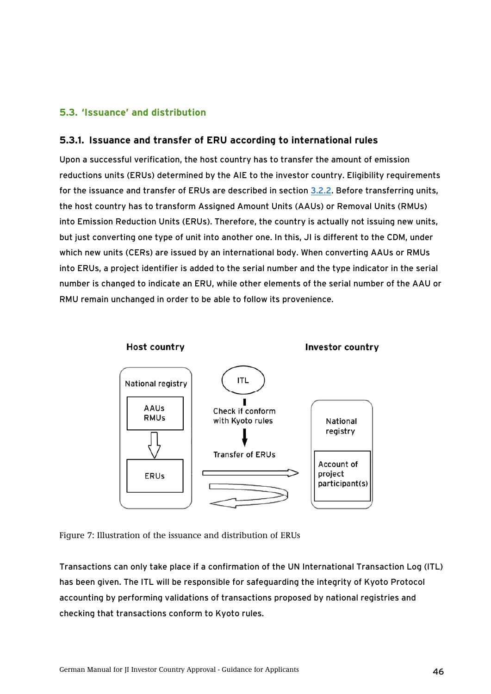## <span id="page-45-0"></span>**5.3. 'Issuance' and distribution**

### **5.3.1. Issuance and transfer of ERU according to international rules**

Upon a successful verification, the host country has to transfer the amount of emission reductions units (ERUs) determined by the AIE to the investor country. Eligibility requirements for the issuance and transfer of ERUs are described in section [3.2.2](#page-20-1). Before transferring units, the host country has to transform Assigned Amount Units (AAUs) or Removal Units (RMUs) into Emission Reduction Units (ERUs). Therefore, the country is actually not issuing new units, but just converting one type of unit into another one. In this, JI is different to the CDM, under which new units (CERs) are issued by an international body. When converting AAUs or RMUs into ERUs, a project identifier is added to the serial number and the type indicator in the serial number is changed to indicate an ERU, while other elements of the serial number of the AAU or RMU remain unchanged in order to be able to follow its provenience.



Figure 7: Illustration of the issuance and distribution of ERUs

Transactions can only take place if a confirmation of the UN International Transaction Log (ITL) has been given. The ITL will be responsible for safeguarding the integrity of Kyoto Protocol accounting by performing validations of transactions proposed by national registries and checking that transactions conform to Kyoto rules.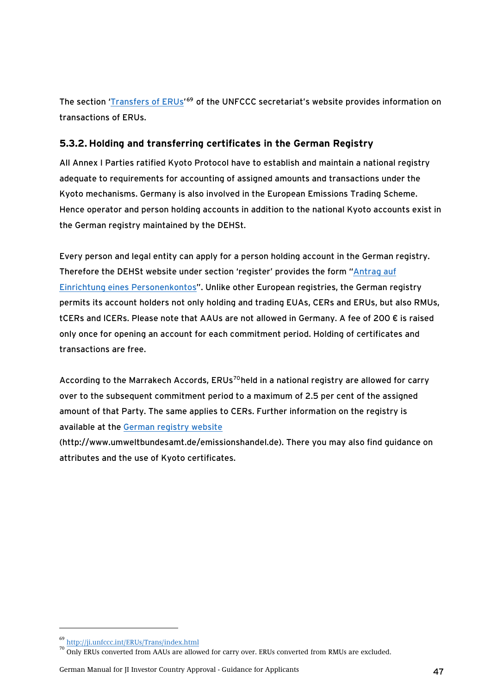<span id="page-46-0"></span>The section '*Transfers of ERUs'*<sup>[69](#page-46-0)</sup> of the UNFCCC secretariat's website provides information on transactions of ERUs.

# **5.3.2. Holding and transferring certificates in the German Registry**

All Annex I Parties ratified Kyoto Protocol have to establish and maintain a national registry adequate to requirements for accounting of assigned amounts and transactions under the Kyoto mechanisms. Germany is also involved in the European Emissions Trading Scheme. Hence operator and person holding accounts in addition to the national Kyoto accounts exist in the German registry maintained by the DEHSt.

Every person and legal entity can apply for a person holding account in the German registry. Therefore the DEHSt website under section 'register' provides the form "[Antrag auf](http://www.dehst.de/cln_011/nn_476386/SharedDocs/Downloads/DE/Register/antrag__personenkonto.html)  [Einrichtung eines Personenkontos](http://www.dehst.de/cln_011/nn_476386/SharedDocs/Downloads/DE/Register/antrag__personenkonto.html)". Unlike other European registries, the German registry permits its account holders not only holding and trading EUAs, CERs and ERUs, but also RMUs, tCERs and lCERs. Please note that AAUs are not allowed in Germany. A fee of 200 € is raised only once for opening an account for each commitment period. Holding of certificates and transactions are free.

According to the Marrakech Accords, ERUs<sup>[70](#page-46-0)</sup>held in a national registry are allowed for carry over to the subsequent commitment period to a maximum of 2.5 per cent of the assigned amount of that Party. The same applies to CERs. Further information on the registry is available at the [German registry website](http://www.dehst.de/)

(http://www.umweltbundesamt.de/emissionshandel.de). There you may also find guidance on attributes and the use of Kyoto certificates.

<sup>69</sup> <http://ji.unfccc.int/ERUs/Trans/index.html>

<sup>&</sup>lt;sup>70</sup> Only ERUs converted from AAUs are allowed for carry over. ERUs converted from RMUs are excluded.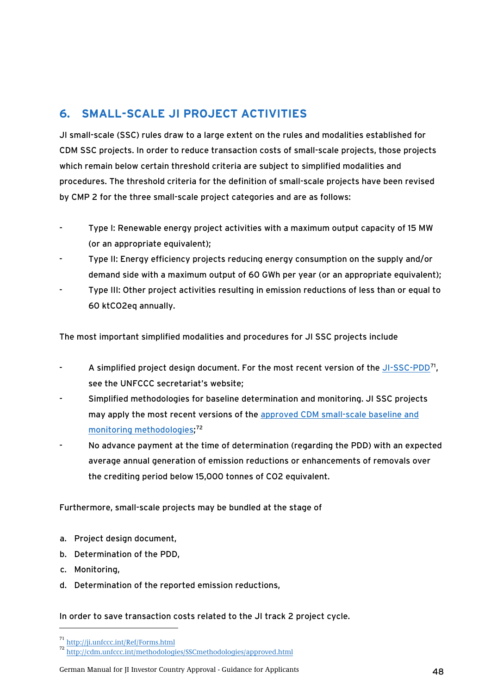# <span id="page-47-1"></span><span id="page-47-0"></span>**6. SMALL-SCALE JI PROJECT ACTIVITIES**

JI small-scale (SSC) rules draw to a large extent on the rules and modalities established for CDM SSC projects. In order to reduce transaction costs of small-scale projects, those projects which remain below certain threshold criteria are subject to simplified modalities and procedures. The threshold criteria for the definition of small-scale projects have been revised by CMP 2 for the three small-scale project categories and are as follows:

- Type I: Renewable energy project activities with a maximum output capacity of 15 MW (or an appropriate equivalent);
- Type II: Energy efficiency projects reducing energy consumption on the supply and/or demand side with a maximum output of 60 GWh per year (or an appropriate equivalent);
- Type III: Other project activities resulting in emission reductions of less than or equal to 60 ktCO2eq annually.

The most important simplified modalities and procedures for JI SSC projects include

- A simplified project design document. For the most recent version of the [JI-SSC-PDD](http://ji.unfccc.int/Ref/Forms.html)<sup>[71](#page-47-0)</sup>, see the UNFCCC secretariat's website;
- Simplified methodologies for baseline determination and monitoring. JI SSC projects may apply the most recent versions of the [approved CDM small-scale baseline and](http://cdm.unfccc.int/methodologies/SSCmethodologies/approved.html)  [monitoring methodologies;](http://cdm.unfccc.int/methodologies/SSCmethodologies/approved.html) [72](#page-47-0)
- No advance payment at the time of determination (regarding the PDD) with an expected average annual generation of emission reductions or enhancements of removals over the crediting period below 15,000 tonnes of CO2 equivalent.

Furthermore, small-scale projects may be bundled at the stage of

- a. Project design document,
- b. Determination of the PDD,
- c. Monitoring,

-

d. Determination of the reported emission reductions,

In order to save transaction costs related to the JI track 2 project cycle.

German Manual for JI Investor Country Approval - Guidance for Applicants 48

<sup>71</sup> <http://ji.unfccc.int/Ref/Forms.html>

<sup>72</sup> <http://cdm.unfccc.int/methodologies/SSCmethodologies/approved.html>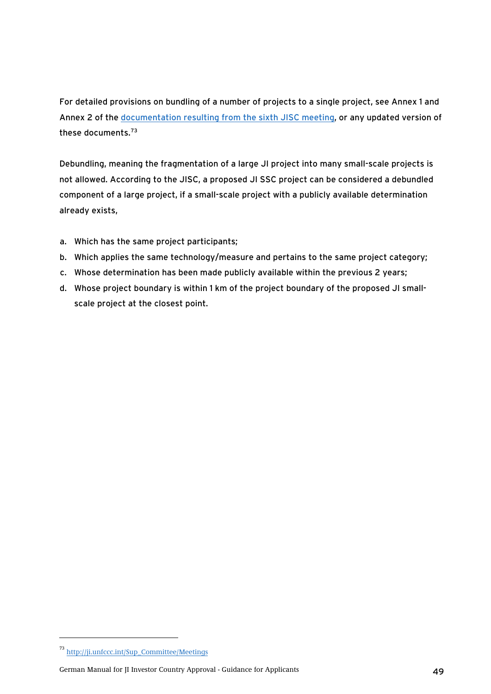<span id="page-48-0"></span>For detailed provisions on bundling of a number of projects to a single project, see Annex 1 and Annex 2 of the [documentation resulting from the sixth JISC meeting,](http://ji.unfccc.int/Sup_Committee/Meetings) or any updated version of these documents.[73](#page-48-0)

Debundling, meaning the fragmentation of a large JI project into many small-scale projects is not allowed. According to the JISC, a proposed JI SSC project can be considered a debundled component of a large project, if a small-scale project with a publicly available determination already exists,

- a. Which has the same project participants;
- b. Which applies the same technology/measure and pertains to the same project category;
- c. Whose determination has been made publicly available within the previous 2 years;
- d. Whose project boundary is within 1 km of the project boundary of the proposed JI smallscale project at the closest point.

-

German Manual for JI Investor Country Approval - Guidance for Applicants 49

<sup>73</sup> [http://ji.unfccc.int/Sup\\_Committee/Meetings](http://ji.unfccc.int/Sup_Committee/Meetings)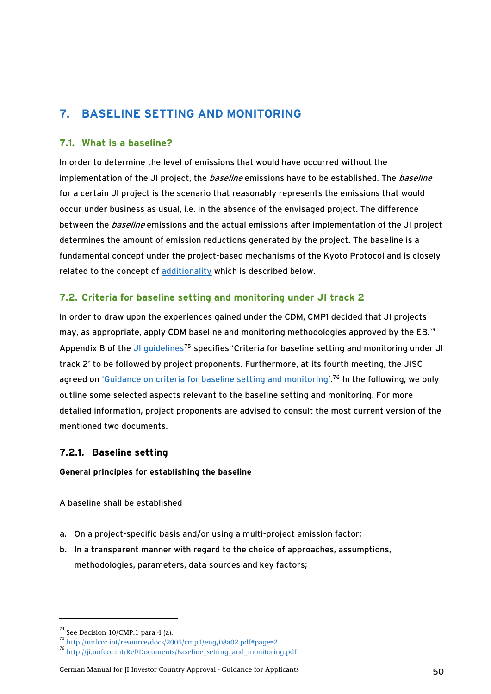# <span id="page-49-2"></span><span id="page-49-1"></span><span id="page-49-0"></span>**7. BASELINE SETTING AND MONITORING**

## **7.1. What is a baseline?**

In order to determine the level of emissions that would have occurred without the implementation of the JI project, the *baseline* emissions have to be established. The *baseline* for a certain JI project is the scenario that reasonably represents the emissions that would occur under business as usual, i.e. in the absence of the envisaged project. The difference between the *baseline* emissions and the actual emissions after implementation of the JI project determines the amount of emission reductions generated by the project. The baseline is a fundamental concept under the project-based mechanisms of the Kyoto Protocol and is closely related to the concept of [additionality](#page-51-1) which is described below.

## **7.2. Criteria for baseline setting and monitoring under JI track 2**

In order to draw upon the experiences gained under the CDM, CMP1 decided that JI projects may, as appropriate, apply CDM baseline and monitoring methodologies approved by the EB. $^{74}$  $^{74}$  $^{74}$ Appendix B of the JI quidelines<sup>[75](#page-49-0)</sup> specifies 'Criteria for baseline setting and monitoring under JI track 2' to be followed by project proponents. Furthermore, at its [fourth meeting,](http://ji.unfccc.int/CritBasMon/Sup_Committee/Meetings/index.html) the JISC agreed on ['Guidance on criteria for baseline setting and monitoring](http://ji.unfccc.int/Ref/Documents/Baseline_setting_and_monitoring.pdf)'.<sup>[76](#page-49-0)</sup> In the following, we only outline some selected aspects relevant to the baseline setting and monitoring. For more detailed information, project proponents are advised to consult the most current version of the mentioned two documents.

## **7.2.1. Baseline setting**

**General principles for establishing the baseline** 

A baseline shall be established

- a. On a project-specific basis and/or using a multi-project emission factor;
- b. In a transparent manner with regard to the choice of approaches, assumptions, methodologies, parameters, data sources and key factors;

 $74$  See Decision 10/CMP.1 para 4 (a).

<sup>75</sup> <http://unfccc.int/resource/docs/2005/cmp1/eng/08a02.pdf#page=2>

<sup>76</sup> [http://ji.unfccc.int/Ref/Documents/Baseline\\_setting\\_and\\_monitoring.pdf](http://ji.unfccc.int/Ref/Documents/Baseline_setting_and_monitoring.pdf)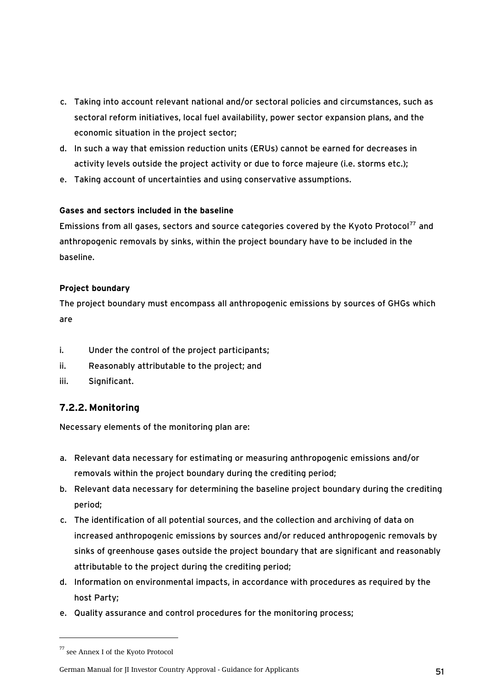- <span id="page-50-0"></span>c. Taking into account relevant national and/or sectoral policies and circumstances, such as sectoral reform initiatives, local fuel availability, power sector expansion plans, and the economic situation in the project sector;
- d. In such a way that emission reduction units (ERUs) cannot be earned for decreases in activity levels outside the project activity or due to force majeure (i.e. storms etc.);
- e. Taking account of uncertainties and using conservative assumptions.

## **Gases and sectors included in the baseline**

Emissions from all gases, sectors and source categories covered by the Kyoto Protocol<sup>[77](#page-50-0)</sup> and anthropogenic removals by sinks, within the project boundary have to be included in the baseline.

## **Project boundary**

The project boundary must encompass all anthropogenic emissions by sources of GHGs which are

- i. Under the control of the project participants;
- ii. Reasonably attributable to the project; and
- iii. Significant.

# <span id="page-50-1"></span>**7.2.2. Monitoring**

Necessary elements of the monitoring plan are:

- a. Relevant data necessary for estimating or measuring anthropogenic emissions and/or removals within the project boundary during the crediting period;
- b. Relevant data necessary for determining the baseline project boundary during the crediting period;
- c. The identification of all potential sources, and the collection and archiving of data on increased anthropogenic emissions by sources and/or reduced anthropogenic removals by sinks of greenhouse gases outside the project boundary that are significant and reasonably attributable to the project during the crediting period;
- d. Information on environmental impacts, in accordance with procedures as required by the host Party;
- e. Quality assurance and control procedures for the monitoring process;

<sup>77</sup> see Annex I of the Kyoto Protocol

German Manual for JI Investor Country Approval - Guidance for Applicants 51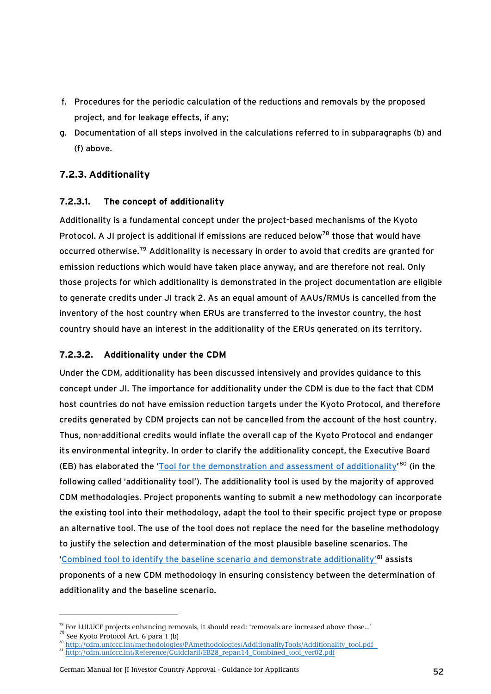- <span id="page-51-1"></span><span id="page-51-0"></span>f. Procedures for the periodic calculation of the reductions and removals by the proposed project, and for leakage effects, if any;
- g. Documentation of all steps involved in the calculations referred to in subparagraphs (b) and (f) above.

# <span id="page-51-2"></span>**7.2.3. Additionality**

## **7.2.3.1. The concept of additionality**

Additionality is a fundamental concept under the project-based mechanisms of the Kyoto Protocol. A JI project is additional if emissions are reduced below<sup>[78](#page-51-0)</sup> those that would have occurred otherwise.[79](#page-51-0) Additionality is necessary in order to avoid that credits are granted for emission reductions which would have taken place anyway, and are therefore not real. Only those projects for which additionality is demonstrated in the project documentation are eligible to generate credits under JI track 2. As an equal amount of AAUs/RMUs is cancelled from the inventory of the host country when ERUs are transferred to the investor country, the host country should have an interest in the additionality of the ERUs generated on its territory.

## **7.2.3.2. Additionality under the CDM**

Under the CDM, additionality has been discussed intensively and provides guidance to this concept under JI. The importance for additionality under the CDM is due to the fact that CDM host countries do not have emission reduction targets under the Kyoto Protocol, and therefore credits generated by CDM projects can not be cancelled from the account of the host country. Thus, non-additional credits would inflate the overall cap of the Kyoto Protocol and endanger its environmental integrity. In order to clarify the additionality concept, the Executive Board (EB) has elaborated the '[Tool for the demonstration and assessment of additionality](http://cdm.unfccc.int/methodologies/PAmethodologies/AdditionalityTools/Additionality_tool.pdf)<sup>'[80](#page-51-0)</sup> (in the following called 'additionality tool'). The additionality tool is used by the majority of approved CDM methodologies. Project proponents wanting to submit a new methodology can incorporate the existing tool into their methodology, adapt the tool to their specific project type or propose an alternative tool. The use of the tool does not replace the need for the baseline methodology to justify the selection and determination of the most plausible baseline scenarios. The '[Combined tool to identify the baseline scenario and demonstrate additionality'](http://cdm.unfccc.int/Reference/Guidclarif/EB28_repan14_Combined_tool_ver02.pdf)[81](#page-51-0) assists proponents of a new CDM methodology in ensuring consistency between the determination of additionality and the baseline scenario.

<sup>&</sup>lt;sup>78</sup> For LULUCF projects enhancing removals, it should read: 'removals are increased above those...'<br><sup>79</sup> See Kyoto Protocol Art. 6 para 1 (b)<br><sup>80</sup> http://cdm.unfccc.int/methodologies/PAmethodologies/AdditionalityTools/Ad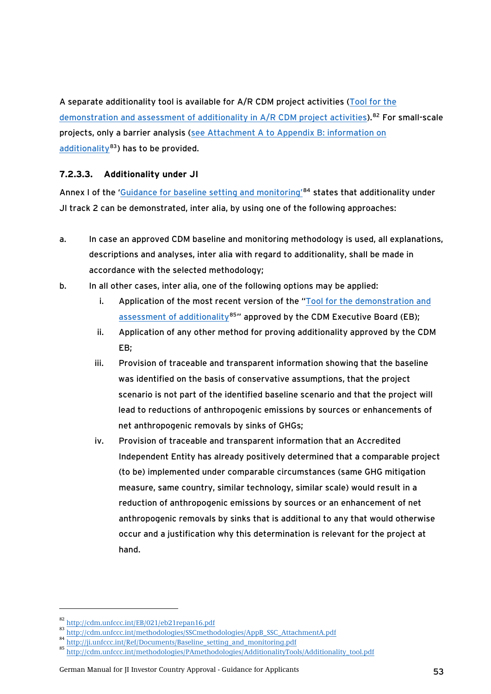<span id="page-52-0"></span>A separate additionality tool is available for A/R CDM project activities [\(Tool for the](http://cdm.unfccc.int/EB/021/eb21repan16.pdf)  [demonstration and assessment of additionality in A/R CDM project activities](http://cdm.unfccc.int/EB/021/eb21repan16.pdf)).<sup>[82](#page-52-0)</sup> For small-scale projects, only a barrier analysis ([see Attachment A to Appendix B: information on](http://cdm.unfccc.int/methodologies/SSCmethodologies/AppB_SSC_AttachmentA.pdf)  [additionality](http://cdm.unfccc.int/methodologies/SSCmethodologies/AppB_SSC_AttachmentA.pdf) $83$ ) has to be provided.

## **7.2.3.3. Additionality under JI**

Annex I of the '[Guidance for baseline setting and monitoring'](http://ji.unfccc.int/Ref/Documents/Baseline_setting_and_monitoring.pdf)<sup>[84](#page-52-0)</sup> states that additionality under JI track 2 can be demonstrated, inter alia, by using one of the following approaches:

- a. In case an approved CDM baseline and monitoring methodology is used, all explanations, descriptions and analyses, inter alia with regard to additionality, shall be made in accordance with the selected methodology;
- b. In all other cases, inter alia, one of the following options may be applied:
	- i. Application of the most recent version of the "Tool for the demonstration and [assessment of additionality](http://cdm.unfccc.int/methodologies/PAmethodologies/AdditionalityTools/Additionality_tool.pdf) $85$ " approved by the CDM Executive Board (EB);
	- ii. Application of any other method for proving additionality approved by the CDM EB;
	- iii. Provision of traceable and transparent information showing that the baseline was identified on the basis of conservative assumptions, that the project scenario is not part of the identified baseline scenario and that the project will lead to reductions of anthropogenic emissions by sources or enhancements of net anthropogenic removals by sinks of GHGs;
	- iv. Provision of traceable and transparent information that an Accredited Independent Entity has already positively determined that a comparable project (to be) implemented under comparable circumstances (same GHG mitigation measure, same country, similar technology, similar scale) would result in a reduction of anthropogenic emissions by sources or an enhancement of net anthropogenic removals by sinks that is additional to any that would otherwise occur and a justification why this determination is relevant for the project at hand.

 $\begin{array}{l} \textbf{82}\ \underline{\text{http://cdm.unfccc.int/EB/021/eb21repan16.pdf}}\\ \textbf{83}\ \underline{\text{http://cdm.unfccc.int/methodologies/SSCmethodologies/AppB_SSC\_AttachmentA.pdf}}\\ \textbf{84}\ \underline{\text{http://idm.unfccc.int/Ref/Documents/Baseline setting_and_montoring.pdf}}\\ \textbf{85}\ \underline{\text{http://ji.unfccc.int/Ref/Documents/Baseline setting_and_montoring.pdf}}\\ \textbf{86}\ \underline{\text{http://cdm.unfccc.int/methodologies/PAmethodologies/AdditionalityTools/Additionality\_tool.pdf}}\\ \textbf{87}\ \underline{\text{http://$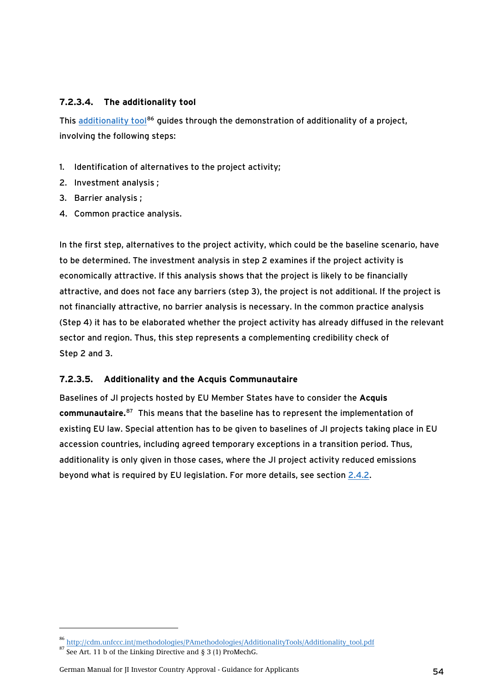## <span id="page-53-0"></span>**7.2.3.4. The additionality tool**

This [additionality tool](http://cdm.unfccc.int/methodologies/PAmethodologies/AdditionalityTools/Additionality_tool.pdf)<sup>[86](#page-53-0)</sup> guides through the demonstration of additionality of a project, involving the following steps:

- 1. Identification of alternatives to the project activity;
- 2. Investment analysis ;
- 3. Barrier analysis ;
- 4. Common practice analysis.

In the first step, alternatives to the project activity, which could be the baseline scenario, have to be determined. The investment analysis in step 2 examines if the project activity is economically attractive. If this analysis shows that the project is likely to be financially attractive, and does not face any barriers (step 3), the project is not additional. If the project is not financially attractive, no barrier analysis is necessary. In the common practice analysis (Step 4) it has to be elaborated whether the project activity has already diffused in the relevant sector and region. Thus, this step represents a complementing credibility check of Step 2 and 3.

## **7.2.3.5. Additionality and the Acquis Communautaire**

Baselines of JI projects hosted by EU Member States have to consider the **Acquis communautaire.**[87](#page-53-0) This means that the baseline has to represent the implementation of existing EU law. Special attention has to be given to baselines of JI projects taking place in EU accession countries, including agreed temporary exceptions in a transition period. Thus, additionality is only given in those cases, where the JI project activity reduced emissions beyond what is required by EU legislation. For more details, see section [2.4.2](#page-15-1).

<sup>86</sup> [http://cdm.unfccc.int/methodologies/PAmethodologies/AdditionalityTools/Additionality\\_tool.pdf](http://cdm.unfccc.int/methodologies/PAmethodologies/AdditionalityTools/Additionality_tool.pdf)

 $87$  See Art. 11 b of the Linking Directive and § 3 (1) ProMechG.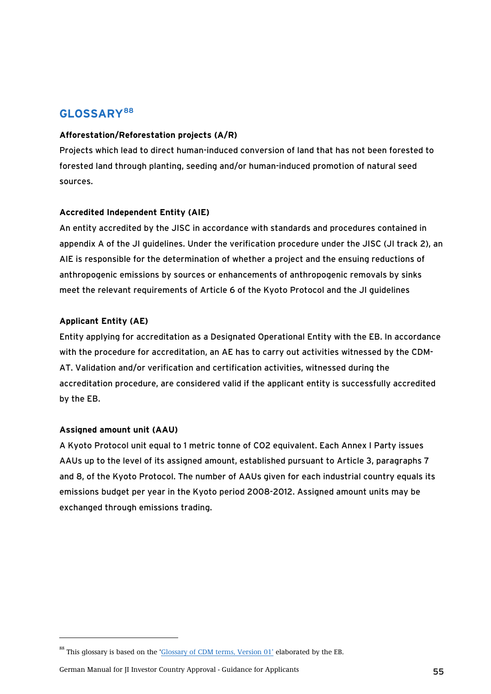# <span id="page-54-0"></span>**GLOSSARY[88](#page-54-0)**

### **Afforestation/Reforestation projects (A/R)**

Projects which lead to direct human-induced conversion of land that has not been forested to forested land through planting, seeding and/or human-induced promotion of natural seed sources.

## **Accredited Independent Entity (AIE)**

An entity accredited by the JISC in accordance with standards and procedures contained in appendix A of the JI guidelines. Under the verification procedure under the JISC (JI track 2), an AIE is responsible for the determination of whether a project and the ensuing reductions of anthropogenic emissions by sources or enhancements of anthropogenic removals by sinks meet the relevant requirements of Article 6 of the Kyoto Protocol and the JI guidelines

### **Applicant Entity (AE)**

Entity applying for accreditation as a Designated Operational Entity with the EB. In accordance with the procedure for accreditation, an AE has to carry out activities witnessed by the CDM-AT. Validation and/or verification and certification activities, witnessed during the accreditation procedure, are considered valid if the applicant entity is successfully accredited by the EB.

#### **Assigned amount unit (AAU)**

-

A Kyoto Protocol unit equal to 1 metric tonne of CO2 equivalent. Each Annex I Party issues AAUs up to the level of its assigned amount, established pursuant to Article 3, paragraphs 7 and 8, of the Kyoto Protocol. The number of AAUs given for each industrial country equals its emissions budget per year in the Kyoto period 2008-2012. Assigned amount units may be exchanged through emissions trading.

<sup>&</sup>lt;sup>88</sup> This glossary is based on the ['Glossary of CDM terms, Version 01'](http://cdm.unfccc.int/Reference/Guidclarif/glossary_of_CDM_terms.pdf) elaborated by the EB.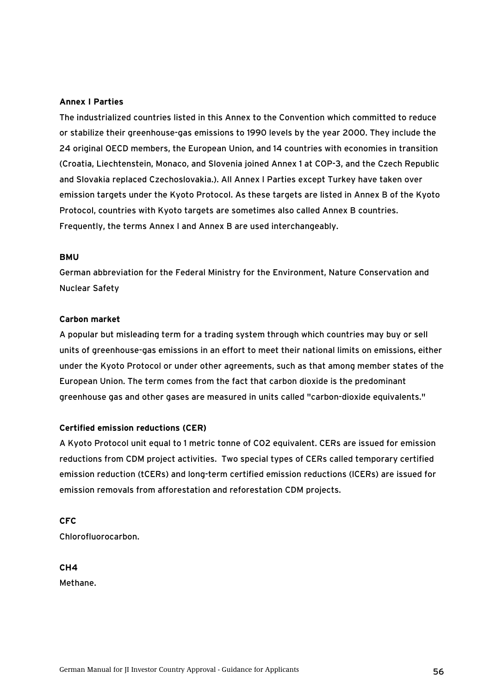#### **Annex I Parties**

The industrialized countries listed in this Annex to the Convention which committed to reduce or stabilize their greenhouse-gas emissions to 1990 levels by the year 2000. They include the 24 original OECD members, the European Union, and 14 countries with economies in transition (Croatia, Liechtenstein, Monaco, and Slovenia joined Annex 1 at COP-3, and the Czech Republic and Slovakia replaced Czechoslovakia.). All Annex I Parties except Turkey have taken over emission targets under the Kyoto Protocol. As these targets are listed in Annex B of the Kyoto Protocol, countries with Kyoto targets are sometimes also called Annex B countries. Frequently, the terms Annex I and Annex B are used interchangeably.

#### **BMU**

German abbreviation for the Federal Ministry for the Environment, Nature Conservation and Nuclear Safety

#### **Carbon market**

A popular but misleading term for a trading system through which countries may buy or sell units of greenhouse-gas emissions in an effort to meet their national limits on emissions, either under the Kyoto Protocol or under other agreements, such as that among member states of the European Union. The term comes from the fact that carbon dioxide is the predominant greenhouse gas and other gases are measured in units called "carbon-dioxide equivalents."

#### **Certified emission reductions (CER)**

A Kyoto Protocol unit equal to 1 metric tonne of CO2 equivalent. CERs are issued for emission reductions from CDM project activities. Two special types of CERs called temporary certified emission reduction (tCERs) and long-term certified emission reductions (lCERs) are issued for emission removals from afforestation and reforestation CDM projects.

**CFC**  Chlorofluorocarbon.

**CH4**  Methane.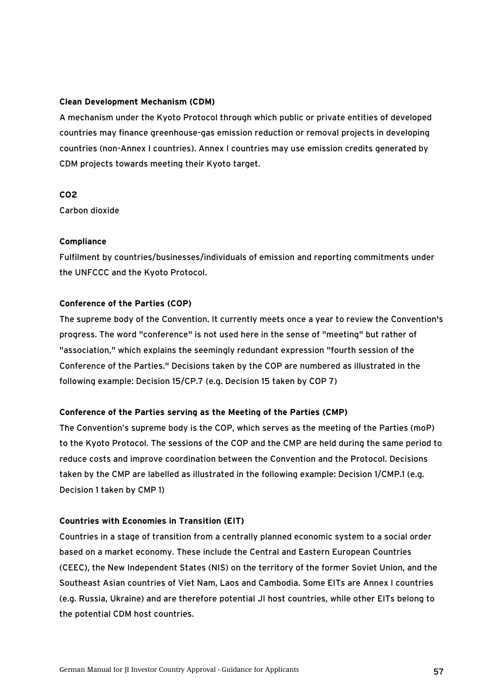#### **Clean Development Mechanism (CDM)**

A mechanism under the Kyoto Protocol through which public or private entities of developed countries may finance greenhouse-gas emission reduction or removal projects in developing countries (non-Annex I countries). Annex I countries may use emission credits generated by CDM projects towards meeting their Kyoto target.

#### **CO2**

Carbon dioxide

### **Compliance**

Fulfilment by countries/businesses/individuals of emission and reporting commitments under the UNFCCC and the Kyoto Protocol.

### **Conference of the Parties (COP)**

The supreme body of the Convention. It currently meets once a year to review the Convention's progress. The word "conference" is not used here in the sense of "meeting" but rather of "association," which explains the seemingly redundant expression "fourth session of the Conference of the Parties." Decisions taken by the COP are numbered as illustrated in the following example: Decision 15/CP.7 (e.g. Decision 15 taken by COP 7)

## **Conference of the Parties serving as the Meeting of the Parties (CMP)**

The Convention's supreme body is the COP, which serves as the meeting of the Parties (moP) to the Kyoto Protocol. The sessions of the COP and the CMP are held during the same period to reduce costs and improve coordination between the Convention and the Protocol. Decisions taken by the CMP are labelled as illustrated in the following example: Decision 1/CMP.1 (e.g. Decision 1 taken by CMP 1)

#### **Countries with Economies in Transition (EIT)**

Countries in a stage of transition from a centrally planned economic system to a social order based on a market economy. These include the Central and Eastern European Countries (CEEC), the New Independent States (NIS) on the territory of the former Soviet Union, and the Southeast Asian countries of Viet Nam, Laos and Cambodia. Some EITs are Annex I countries (e.g. Russia, Ukraine) and are therefore potential JI host countries, while other EITs belong to the potential CDM host countries.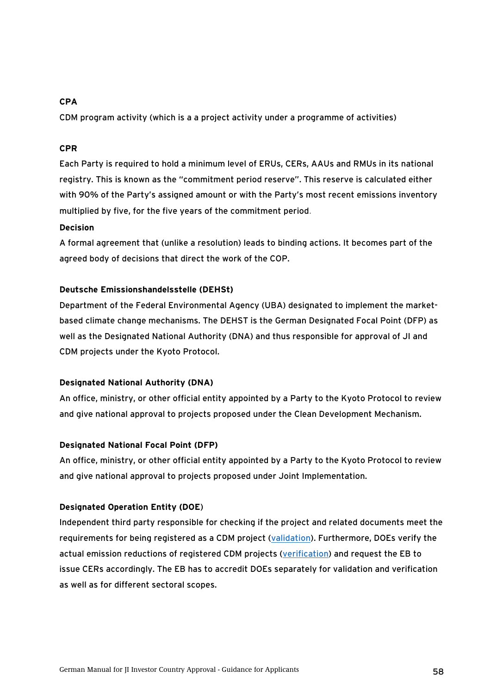### **CPA**

CDM program activity (which is a a project activity under a programme of activities)

#### **CPR**

Each Party is required to hold a minimum level of ERUs, CERs, AAUs and RMUs in its national registry. This is known as the "commitment period reserve". This reserve is calculated either with 90% of the Party's assigned amount or with the Party's most recent emissions inventory multiplied by five, for the five years of the commitment period.

### **Decision**

A formal agreement that (unlike a resolution) leads to binding actions. It becomes part of the agreed body of decisions that direct the work of the COP.

### **Deutsche Emissionshandelsstelle (DEHSt)**

Department of the Federal Environmental Agency (UBA) designated to implement the marketbased climate change mechanisms. The DEHST is the German Designated Focal Point (DFP) as well as the Designated National Authority (DNA) and thus responsible for approval of JI and CDM projects under the Kyoto Protocol.

## **Designated National Authority (DNA)**

An office, ministry, or other official entity appointed by a Party to the Kyoto Protocol to review and give national approval to projects proposed under the Clean Development Mechanism.

## **Designated National Focal Point (DFP)**

An office, ministry, or other official entity appointed by a Party to the Kyoto Protocol to review and give national approval to projects proposed under Joint Implementation.

## **Designated Operation Entity (DOE**)

Independent third party responsible for checking if the project and related documents meet the requirements for being registered as a CDM project ([validation\)](#page-0-0). Furthermore, DOEs verify the actual emission reductions of registered CDM projects ([verification\)](#page-0-0) and request the EB to issue CERs accordingly. The EB has to accredit DOEs separately for validation and verification as well as for different sectoral scopes.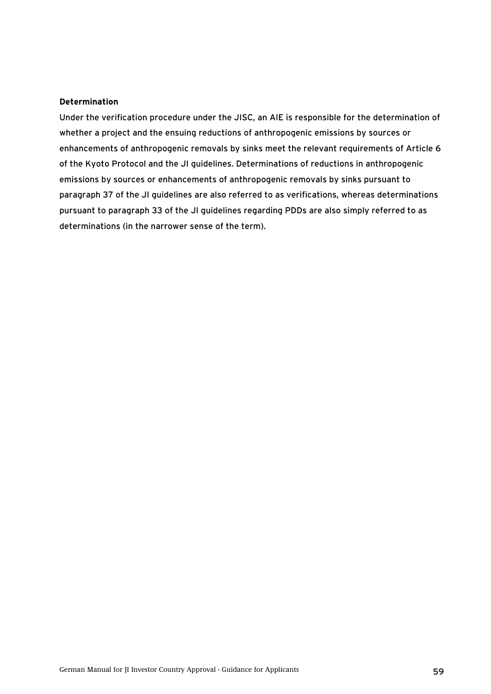#### **Determination**

Under the verification procedure under the JISC, an AIE is responsible for the determination of whether a project and the ensuing reductions of anthropogenic emissions by sources or enhancements of anthropogenic removals by sinks meet the relevant requirements of Article 6 of the Kyoto Protocol and the JI guidelines. Determinations of reductions in anthropogenic emissions by sources or enhancements of anthropogenic removals by sinks pursuant to paragraph 37 of the JI guidelines are also referred to as verifications, whereas determinations pursuant to paragraph 33 of the JI guidelines regarding PDDs are also simply referred to as determinations (in the narrower sense of the term).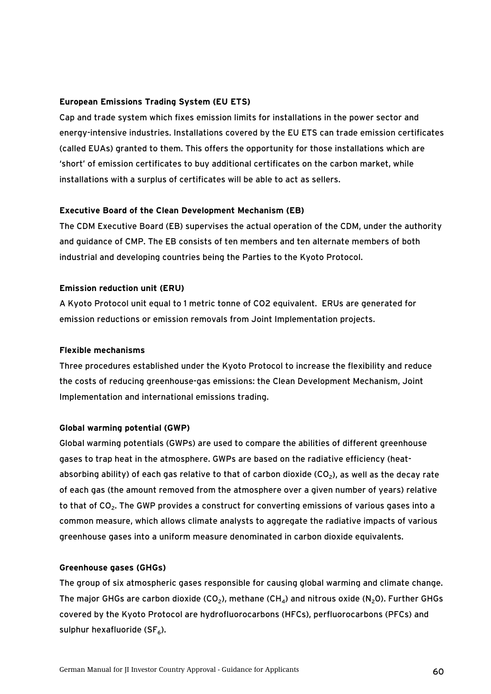#### **European Emissions Trading System (EU ETS)**

Cap and trade system which fixes emission limits for installations in the power sector and energy-intensive industries. Installations covered by the EU ETS can trade emission certificates (called EUAs) granted to them. This offers the opportunity for those installations which are 'short' of emission certificates to buy additional certificates on the carbon market, while installations with a surplus of certificates will be able to act as sellers.

#### **Executive Board of the Clean Development Mechanism (EB)**

The CDM Executive Board (EB) supervises the actual operation of the CDM, under the authority and guidance of CMP. The EB consists of ten members and ten alternate members of both industrial and developing countries being the Parties to the Kyoto Protocol.

#### **Emission reduction unit (ERU)**

A Kyoto Protocol unit equal to 1 metric tonne of CO2 equivalent. ERUs are generated for emission reductions or emission removals from Joint Implementation projects.

#### **Flexible mechanisms**

Three procedures established under the Kyoto Protocol to increase the flexibility and reduce the costs of reducing greenhouse-gas emissions: the Clean Development Mechanism, Joint Implementation and international emissions trading.

#### **Global warming potential (GWP)**

Global warming potentials (GWPs) are used to compare the abilities of different greenhouse gases to trap heat in the atmosphere. GWPs are based on the radiative efficiency (heatabsorbing ability) of each gas relative to that of carbon dioxide (CO<sub>2</sub>), as well as the decay rate of each gas (the amount removed from the atmosphere over a given number of years) relative to that of  $CO<sub>2</sub>$ . The GWP provides a construct for converting emissions of various gases into a common measure, which allows climate analysts to aggregate the radiative impacts of various greenhouse gases into a uniform measure denominated in carbon dioxide equivalents.

#### **Greenhouse gases (GHGs)**

The group of six atmospheric gases responsible for causing global warming and climate change. The major GHGs are carbon dioxide (CO<sub>2</sub>), methane (CH<sub>4</sub>) and nitrous oxide (N<sub>2</sub>O). Further GHGs covered by the Kyoto Protocol are hydrofluorocarbons (HFCs), perfluorocarbons (PFCs) and sulphur hexafluoride ( $SF<sub>6</sub>$ ).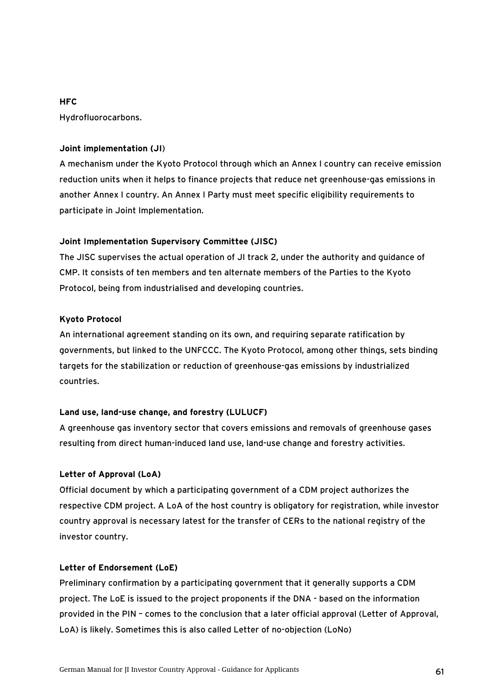#### **HFC**

Hydrofluorocarbons.

### **Joint implementation (JI**)

A mechanism under the Kyoto Protocol through which an Annex I country can receive emission reduction units when it helps to finance projects that reduce net greenhouse-gas emissions in another Annex I country. An Annex I Party must meet specific eligibility requirements to participate in Joint Implementation.

### **Joint Implementation Supervisory Committee (JISC)**

The JISC supervises the actual operation of JI track 2, under the authority and guidance of CMP. It consists of ten members and ten alternate members of the Parties to the Kyoto Protocol, being from industrialised and developing countries.

### **Kyoto Protocol**

An international agreement standing on its own, and requiring separate ratification by governments, but linked to the UNFCCC. The Kyoto Protocol, among other things, sets binding targets for the stabilization or reduction of greenhouse-gas emissions by industrialized countries.

## **Land use, land-use change, and forestry (LULUCF)**

A greenhouse gas inventory sector that covers emissions and removals of greenhouse gases resulting from direct human-induced land use, land-use change and forestry activities.

#### **Letter of Approval (LoA)**

Official document by which a participating government of a CDM project authorizes the respective CDM project. A LoA of the host country is obligatory for registration, while investor country approval is necessary latest for the transfer of CERs to the national registry of the investor country.

#### **Letter of Endorsement (LoE)**

Preliminary confirmation by a participating government that it generally supports a CDM project. The LoE is issued to the project proponents if the DNA - based on the information provided in the PIN – comes to the conclusion that a later official approval (Letter of Approval, LoA) is likely. Sometimes this is also called Letter of no-objection (LoNo)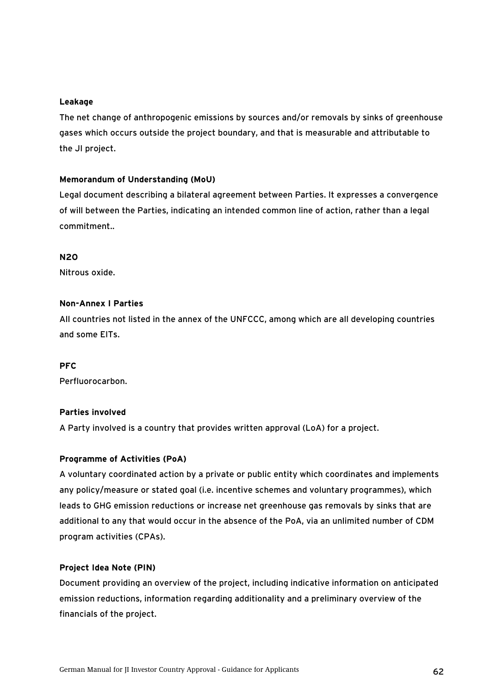#### **Leakage**

The net change of anthropogenic emissions by sources and/or removals by sinks of greenhouse gases which occurs outside the project boundary, and that is measurable and attributable to the JI project.

#### **Memorandum of Understanding (MoU)**

Legal document describing a bilateral agreement between Parties. It expresses a convergence of will between the Parties, indicating an intended common line of action, rather than a legal commitment..

#### **N2O**

Nitrous oxide.

#### **Non-Annex I Parties**

All countries not listed in the annex of the UNFCCC, among which are all developing countries and some EITs.

#### **PFC**

Perfluorocarbon.

#### **Parties involved**

A Party involved is a country that provides written approval (LoA) for a project.

#### **Programme of Activities (PoA)**

A voluntary coordinated action by a private or public entity which coordinates and implements any policy/measure or stated goal (i.e. incentive schemes and voluntary programmes), which leads to GHG emission reductions or increase net greenhouse gas removals by sinks that are additional to any that would occur in the absence of the PoA, via an unlimited number of CDM program activities (CPAs).

#### **Project Idea Note (PIN)**

Document providing an overview of the project, including indicative information on anticipated emission reductions, information regarding additionality and a preliminary overview of the financials of the project.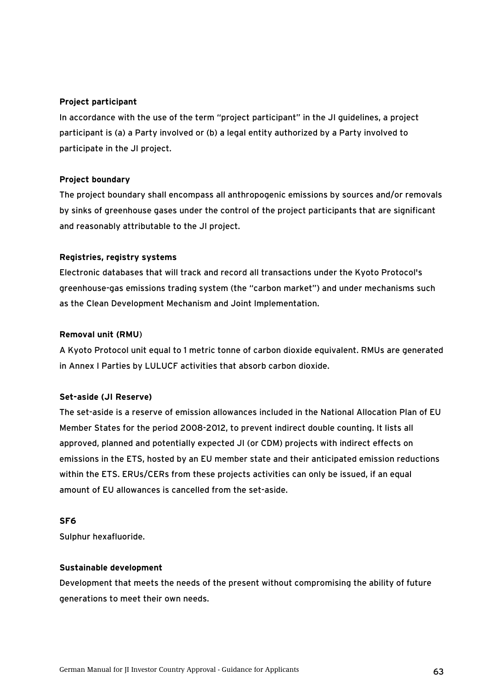#### **Project participant**

In accordance with the use of the term "project participant" in the JI guidelines, a project participant is (a) a Party involved or (b) a legal entity authorized by a Party involved to participate in the JI project.

### **Project boundary**

The project boundary shall encompass all anthropogenic emissions by sources and/or removals by sinks of greenhouse gases under the control of the project participants that are significant and reasonably attributable to the JI project.

### **Registries, registry systems**

Electronic databases that will track and record all transactions under the Kyoto Protocol's greenhouse-gas emissions trading system (the "carbon market") and under mechanisms such as the Clean Development Mechanism and Joint Implementation.

### **Removal unit (RMU**)

A Kyoto Protocol unit equal to 1 metric tonne of carbon dioxide equivalent. RMUs are generated in Annex I Parties by LULUCF activities that absorb carbon dioxide.

#### **Set-aside (JI Reserve)**

The set-aside is a reserve of emission allowances included in the National Allocation Plan of EU Member States for the period 2008-2012, to prevent indirect double counting. It lists all approved, planned and potentially expected JI (or CDM) projects with indirect effects on emissions in the ETS, hosted by an EU member state and their anticipated emission reductions within the ETS. ERUs/CERs from these projects activities can only be issued, if an equal amount of EU allowances is cancelled from the set-aside.

#### **SF6**

Sulphur hexafluoride.

#### **Sustainable development**

Development that meets the needs of the present without compromising the ability of future generations to meet their own needs.